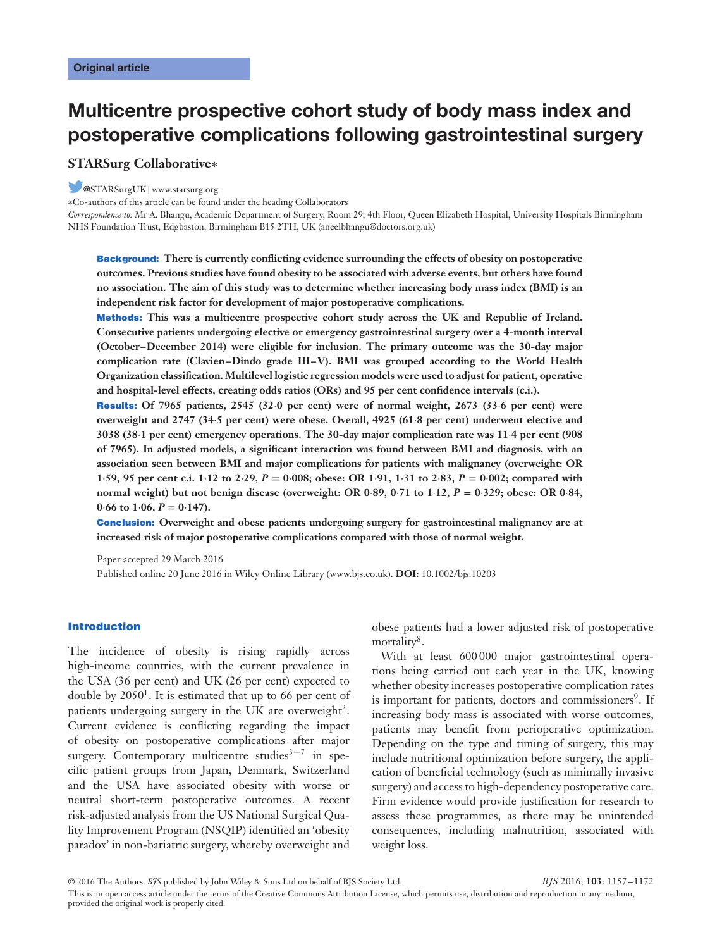# **Multicentre prospective cohort study of body mass index and postoperative complications following gastrointestinal surgery**

## **STARSurg Collaborative**∗

## @STARSurgUK|www.starsurg.org

∗Co-authors of this article can be found under the heading Collaborators

*Correspondence to:* Mr A. Bhangu, Academic Department of Surgery, Room 29, 4th Floor, Queen Elizabeth Hospital, University Hospitals Birmingham NHS Foundation Trust, Edgbaston, Birmingham B15 2TH, UK (aneelbhangu@doctors.org.uk)

**Background: There is currently conflicting evidence surrounding the effects of obesity on postoperative outcomes. Previous studies have found obesity to be associated with adverse events, but others have found no association. The aim of this study was to determine whether increasing body mass index (BMI) is an independent risk factor for development of major postoperative complications.**

**Methods: This was a multicentre prospective cohort study across the UK and Republic of Ireland. Consecutive patients undergoing elective or emergency gastrointestinal surgery over a 4-month interval (October–December 2014) were eligible for inclusion. The primary outcome was the 30-day major complication rate (Clavien–Dindo grade III–V). BMI was grouped according to the World Health Organization classification. Multilevel logistic regression models were used to adjust for patient, operative and hospital-level effects, creating odds ratios (ORs) and 95 per cent confidence intervals (c.i.).**

**Results: Of 7965 patients, 2545 (32⋅0 per cent) were of normal weight, 2673 (33⋅6 per cent) were overweight and 2747 (34⋅5 per cent) were obese. Overall, 4925 (61⋅8 per cent) underwent elective and 3038 (38⋅1 per cent) emergency operations. The 30-day major complication rate was 11⋅4 per cent (908 of 7965). In adjusted models, a significant interaction was found between BMI and diagnosis, with an association seen between BMI and major complications for patients with malignancy (overweight: OR** 1.59, 95 per cent c.i. 1.12 to 2.29,  $P = 0.008$ ; obese: OR 1.91, 1.31 to 2.83,  $P = 0.002$ ; compared with **normal weight) but not benign disease (overweight: OR 0⋅89, 0⋅71 to 1⋅12,** *P* **= 0⋅329; obese: OR 0⋅84,**  $0.66$  to  $1.06$ ,  $P = 0.147$ .

**Conclusion: Overweight and obese patients undergoing surgery for gastrointestinal malignancy are at increased risk of major postoperative complications compared with those of normal weight.**

Paper accepted 29 March 2016 Published online 20 June 2016 in Wiley Online Library (www.bjs.co.uk). **DOI:** 10.1002/bjs.10203

#### **Introduction**

The incidence of obesity is rising rapidly across high-income countries, with the current prevalence in the USA (36 per cent) and UK (26 per cent) expected to double by  $2050<sup>1</sup>$ . It is estimated that up to 66 per cent of patients undergoing surgery in the UK are overweight<sup>2</sup>. Current evidence is conflicting regarding the impact of obesity on postoperative complications after major surgery. Contemporary multicentre studies $3<sup>3-7</sup>$  in specific patient groups from Japan, Denmark, Switzerland and the USA have associated obesity with worse or neutral short-term postoperative outcomes. A recent risk-adjusted analysis from the US National Surgical Quality Improvement Program (NSQIP) identified an 'obesity paradox' in non-bariatric surgery, whereby overweight and

obese patients had a lower adjusted risk of postoperative mortality<sup>8</sup>.

With at least 600 000 major gastrointestinal operations being carried out each year in the UK, knowing whether obesity increases postoperative complication rates is important for patients, doctors and commissioners<sup>9</sup>. If increasing body mass is associated with worse outcomes, patients may benefit from perioperative optimization. Depending on the type and timing of surgery, this may include nutritional optimization before surgery, the application of beneficial technology (such as minimally invasive surgery) and access to high-dependency postoperative care. Firm evidence would provide justification for research to assess these programmes, as there may be unintended consequences, including malnutrition, associated with weight loss.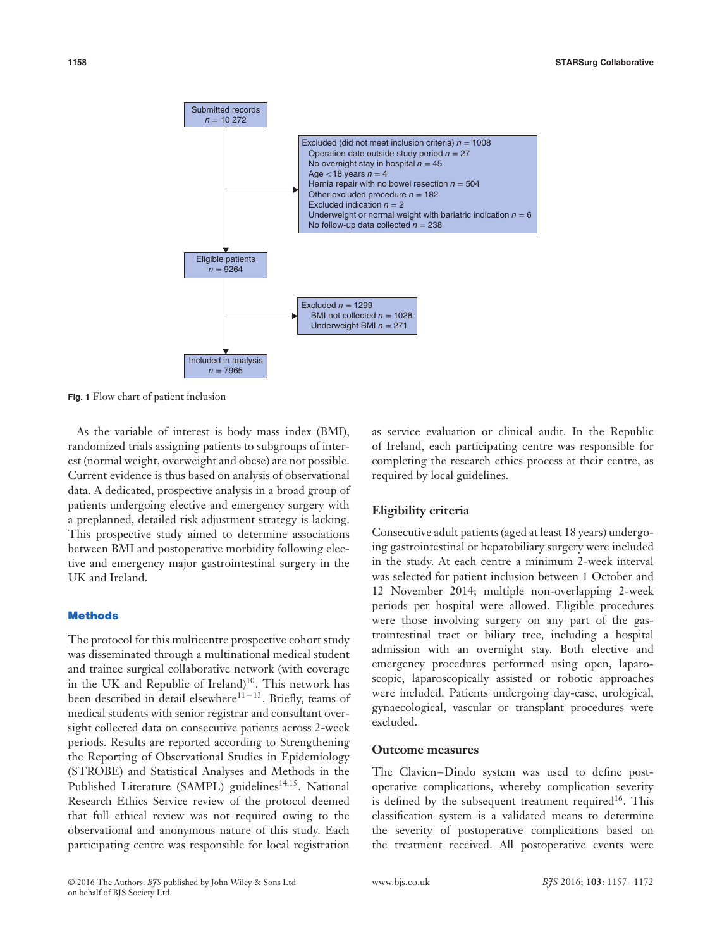

**Fig. 1** Flow chart of patient inclusion

As the variable of interest is body mass index (BMI), randomized trials assigning patients to subgroups of interest (normal weight, overweight and obese) are not possible. Current evidence is thus based on analysis of observational data. A dedicated, prospective analysis in a broad group of patients undergoing elective and emergency surgery with a preplanned, detailed risk adjustment strategy is lacking. This prospective study aimed to determine associations between BMI and postoperative morbidity following elective and emergency major gastrointestinal surgery in the UK and Ireland.

## **Methods**

The protocol for this multicentre prospective cohort study was disseminated through a multinational medical student and trainee surgical collaborative network (with coverage in the UK and Republic of Ireland)10. This network has been described in detail elsewhere<sup>11–13</sup>. Briefly, teams of medical students with senior registrar and consultant oversight collected data on consecutive patients across 2-week periods. Results are reported according to Strengthening the Reporting of Observational Studies in Epidemiology (STROBE) and Statistical Analyses and Methods in the Published Literature (SAMPL) guidelines<sup>14,15</sup>. National Research Ethics Service review of the protocol deemed that full ethical review was not required owing to the observational and anonymous nature of this study. Each participating centre was responsible for local registration

as service evaluation or clinical audit. In the Republic of Ireland, each participating centre was responsible for completing the research ethics process at their centre, as required by local guidelines.

## **Eligibility criteria**

Consecutive adult patients (aged at least 18 years) undergoing gastrointestinal or hepatobiliary surgery were included in the study. At each centre a minimum 2-week interval was selected for patient inclusion between 1 October and 12 November 2014; multiple non-overlapping 2-week periods per hospital were allowed. Eligible procedures were those involving surgery on any part of the gastrointestinal tract or biliary tree, including a hospital admission with an overnight stay. Both elective and emergency procedures performed using open, laparoscopic, laparoscopically assisted or robotic approaches were included. Patients undergoing day-case, urological, gynaecological, vascular or transplant procedures were excluded.

## **Outcome measures**

The Clavien–Dindo system was used to define postoperative complications, whereby complication severity is defined by the subsequent treatment required<sup>16</sup>. This classification system is a validated means to determine the severity of postoperative complications based on the treatment received. All postoperative events were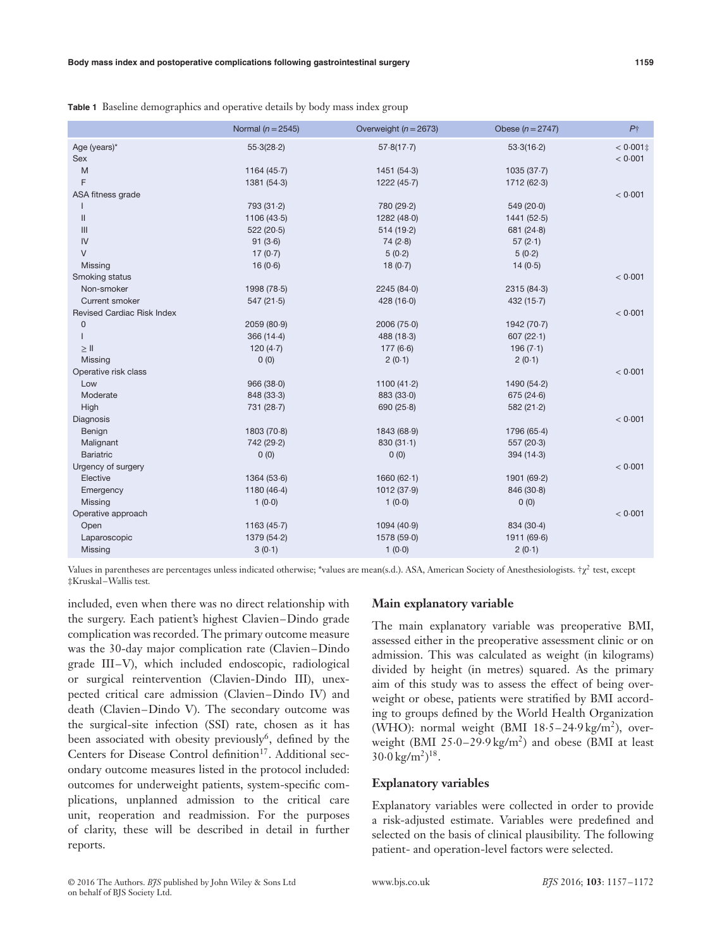|                                                                           | Normal ( $n = 2545$ ) | Overweight ( $n = 2673$ ) | Obese ( $n = 2747$ ) | P <sub>1</sub> |
|---------------------------------------------------------------------------|-----------------------|---------------------------|----------------------|----------------|
| Age (years)*                                                              | 55.3(28.2)            | 57.8(17.7)                | 53.3(16.2)           | $< 0.001$ ‡    |
| Sex                                                                       |                       |                           |                      | < 0.001        |
| M                                                                         | 1164 $(45.7)$         | 1451(54.3)                | 1035(37.7)           |                |
| F                                                                         | 1381(54.3)            | 1222 (45.7)               | 1712(62.3)           |                |
| ASA fitness grade                                                         |                       |                           |                      | < 0.001        |
|                                                                           | 793 (31.2)            | 780 (29.2)                | 549(20.0)            |                |
| $\label{eq:1} \prod_{i=1}^n \left\{ \prod_{i=1}^n \frac{1}{n_i} \right\}$ | 1106(43.5)            | 1282 (48.0)               | 1441(52.5)           |                |
| III                                                                       | 522(20.5)             | 514(19.2)                 | 681 $(24.8)$         |                |
| IV                                                                        | 91(3.6)               | 74(2.8)                   | 57(2.1)              |                |
| $\vee$                                                                    | 17(0.7)               | 5(0.2)                    | 5(0.2)               |                |
| Missing                                                                   | 16(0.6)               | 18(0.7)                   | 14(0.5)              |                |
| Smoking status                                                            |                       |                           |                      | < 0.001        |
| Non-smoker                                                                | 1998 (78.5)           | 2245 (84.0)               | 2315(84.3)           |                |
| Current smoker                                                            | 547(21.5)             | 428(16.0)                 | 432 $(15.7)$         |                |
| <b>Revised Cardiac Risk Index</b>                                         |                       |                           |                      | < 0.001        |
| $\mathbf 0$                                                               | 2059 (80.9)           | 2006 (75.0)               | 1942 (70.7)          |                |
|                                                                           | 366 (14-4)            | 488 (18-3)                | 607(22.1)            |                |
| $\geq$ II                                                                 | 120 $(4-7)$           | 177(6.6)                  | 196(7.1)             |                |
| Missing                                                                   | 0(0)                  | 2(0.1)                    | 2(0.1)               |                |
| Operative risk class                                                      |                       |                           |                      | < 0.001        |
| Low                                                                       | 966(38.0)             | 1100 $(41.2)$             | 1490 (54.2)          |                |
| Moderate                                                                  | 848 (33-3)            | 883 (33.0)                | 675 (24.6)           |                |
| High                                                                      | 731 (28.7)            | 690(25.8)                 | 582 $(21.2)$         |                |
| Diagnosis                                                                 |                       |                           |                      | < 0.001        |
| Benign                                                                    | 1803(70.8)            | 1843 (68-9)               | 1796 (65-4)          |                |
| Malignant                                                                 | 742 (29-2)            | 830(31.1)                 | 557(20.3)            |                |
| <b>Bariatric</b>                                                          | 0(0)                  | 0(0)                      | 394(14.3)            |                |
| Urgency of surgery                                                        |                       |                           |                      | < 0.001        |
| Elective                                                                  | 1364(53.6)            | 1660(62.1)                | 1901 (69-2)          |                |
| Emergency                                                                 | 1180 $(46.4)$         | 1012 (37.9)               | 846 (30.8)           |                |
| Missing                                                                   | 1(0.0)                | 1(0.0)                    | 0(0)                 |                |
| Operative approach                                                        |                       |                           |                      | < 0.001        |
| Open                                                                      | 1163(45.7)            | 1094 (40.9)               | 834 (30.4)           |                |
| Laparoscopic                                                              | 1379 (54.2)           | 1578 (59.0)               | 1911 (69.6)          |                |
| Missing                                                                   | 3(0.1)                | 1(0.0)                    | 2(0.1)               |                |
|                                                                           |                       |                           |                      |                |

**Table 1** Baseline demographics and operative details by body mass index group

Values in parentheses are percentages unless indicated otherwise; \*values are mean(s.d.). ASA, American Society of Anesthesiologists.  $\gamma \gamma^2$  test, except ‡Kruskal–Wallis test*.*

included, even when there was no direct relationship with the surgery. Each patient's highest Clavien–Dindo grade complication was recorded. The primary outcome measure was the 30-day major complication rate (Clavien–Dindo grade III–V), which included endoscopic, radiological or surgical reintervention (Clavien-Dindo III), unexpected critical care admission (Clavien–Dindo IV) and death (Clavien–Dindo V). The secondary outcome was the surgical-site infection (SSI) rate, chosen as it has been associated with obesity previously<sup>6</sup>, defined by the Centers for Disease Control definition<sup>17</sup>. Additional secondary outcome measures listed in the protocol included: outcomes for underweight patients, system-specific complications, unplanned admission to the critical care unit, reoperation and readmission. For the purposes of clarity, these will be described in detail in further reports.

## **Main explanatory variable**

The main explanatory variable was preoperative BMI, assessed either in the preoperative assessment clinic or on admission. This was calculated as weight (in kilograms) divided by height (in metres) squared. As the primary aim of this study was to assess the effect of being overweight or obese, patients were stratified by BMI according to groups defined by the World Health Organization (WHO): normal weight (BMI  $18·5-24·9$  kg/m<sup>2</sup>), overweight (BMI 25⋅0–29⋅9 kg/m2) and obese (BMI at least  $30.0 \,\mathrm{kg/m^2})^{18}$ .

#### **Explanatory variables**

Explanatory variables were collected in order to provide a risk-adjusted estimate. Variables were predefined and selected on the basis of clinical plausibility. The following patient- and operation-level factors were selected.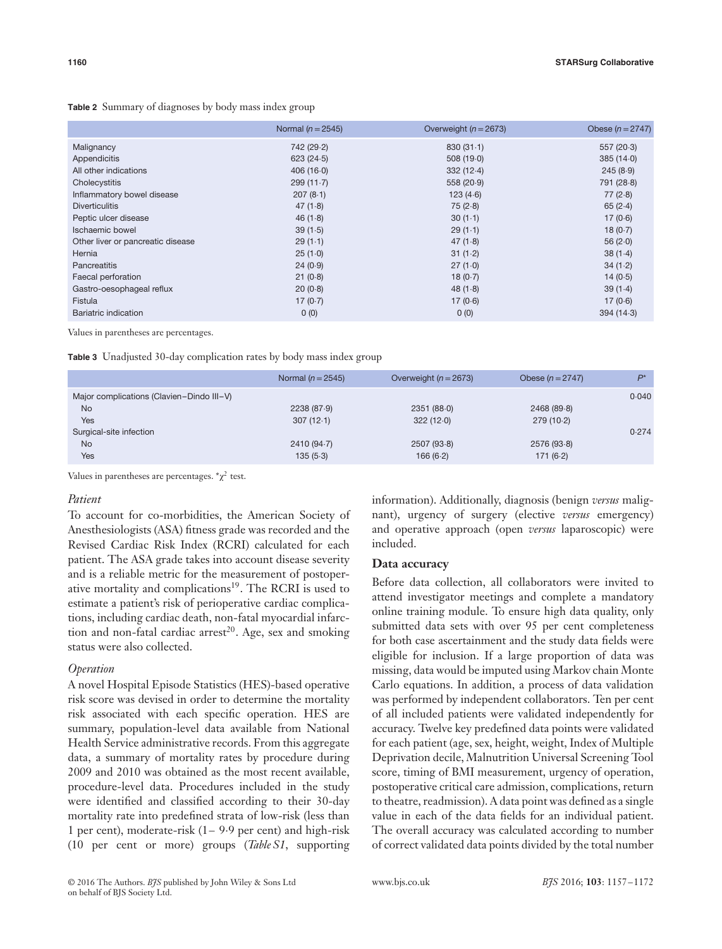|                                   | Normal $(n=2545)$ | Overweight ( $n = 2673$ ) | Obese $(n = 2747)$ |
|-----------------------------------|-------------------|---------------------------|--------------------|
| Malignancy                        | 742 (29.2)        | 830(31.1)                 | 557(20.3)          |
| Appendicitis                      | 623(24.5)         | 508(19.0)                 | 385(14.0)          |
| All other indications             | 406(16.0)         | 332(12.4)                 | 245(8.9)           |
| Cholecystitis                     | 299(11.7)         | 558 (20.9)                | 791 (28.8)         |
| Inflammatory bowel disease        | 207(8.1)          | 123(4.6)                  | 77(2.8)            |
| <b>Diverticulitis</b>             | 47(1.8)           | 75(2.8)                   | 65(2.4)            |
| Peptic ulcer disease              | 46(1.8)           | 30(1.1)                   | 17(0.6)            |
| Ischaemic bowel                   | 39(1.5)           | 29(1.1)                   | 18(0.7)            |
| Other liver or pancreatic disease | 29(1.1)           | 47(1.8)                   | 56 $(2.0)$         |
| Hernia                            | 25(1.0)           | 31(1.2)                   | 38(1.4)            |
| Pancreatitis                      | 24(0.9)           | 27(1.0)                   | 34(1.2)            |
| Faecal perforation                | 21(0.8)           | 18(0.7)                   | 14(0.5)            |
| Gastro-oesophageal reflux         | 20(0.8)           | 48(1.8)                   | 39(1.4)            |
| Fistula                           | 17(0.7)           | 17(0.6)                   | 17(0.6)            |
| Bariatric indication              | 0(0)              | 0(0)                      | 394(14.3)          |

Values in parentheses are percentages.

**Table 3** Unadjusted 30-day complication rates by body mass index group

|                                           | Normal $(n=2545)$ | Overweight $(n = 2673)$ | Obese $(n = 2747)$ | $D^*$ |
|-------------------------------------------|-------------------|-------------------------|--------------------|-------|
| Major complications (Clavien-Dindo III-V) |                   |                         |                    | 0.040 |
| <b>No</b>                                 | 2238 (87.9)       | 2351 (88.0)             | 2468 (89.8)        |       |
| Yes                                       | 307(12.1)         | 322(12.0)               | 279(10.2)          |       |
| Surgical-site infection                   |                   |                         |                    | 0.274 |
| <b>No</b>                                 | 2410 (94.7)       | 2507(93.8)              | 2576 (93.8)        |       |
| Yes                                       | 135(5.3)          | 166(6.2)                | 171(6.2)           |       |

Values in parentheses are percentages.  $\alpha \chi^2$  test.

#### *Patient*

To account for co-morbidities, the American Society of Anesthesiologists (ASA) fitness grade was recorded and the Revised Cardiac Risk Index (RCRI) calculated for each patient. The ASA grade takes into account disease severity and is a reliable metric for the measurement of postoperative mortality and complications<sup>19</sup>. The RCRI is used to estimate a patient's risk of perioperative cardiac complications, including cardiac death, non-fatal myocardial infarction and non-fatal cardiac arrest<sup>20</sup>. Age, sex and smoking status were also collected.

## *Operation*

A novel Hospital Episode Statistics (HES)-based operative risk score was devised in order to determine the mortality risk associated with each specific operation. HES are summary, population-level data available from National Health Service administrative records. From this aggregate data, a summary of mortality rates by procedure during 2009 and 2010 was obtained as the most recent available, procedure-level data. Procedures included in the study were identified and classified according to their 30-day mortality rate into predefined strata of low-risk (less than 1 per cent), moderate-risk (1– 9⋅9 per cent) and high-risk (10 per cent or more) groups (*Table S1*, supporting information). Additionally, diagnosis (benign *versus* malignant), urgency of surgery (elective *versus* emergency) and operative approach (open *versus* laparoscopic) were included.

## **Data accuracy**

Before data collection, all collaborators were invited to attend investigator meetings and complete a mandatory online training module. To ensure high data quality, only submitted data sets with over 95 per cent completeness for both case ascertainment and the study data fields were eligible for inclusion. If a large proportion of data was missing, data would be imputed using Markov chain Monte Carlo equations. In addition, a process of data validation was performed by independent collaborators. Ten per cent of all included patients were validated independently for accuracy. Twelve key predefined data points were validated for each patient (age, sex, height, weight, Index of Multiple Deprivation decile, Malnutrition Universal Screening Tool score, timing of BMI measurement, urgency of operation, postoperative critical care admission, complications, return to theatre, readmission). A data point was defined as a single value in each of the data fields for an individual patient. The overall accuracy was calculated according to number of correct validated data points divided by the total number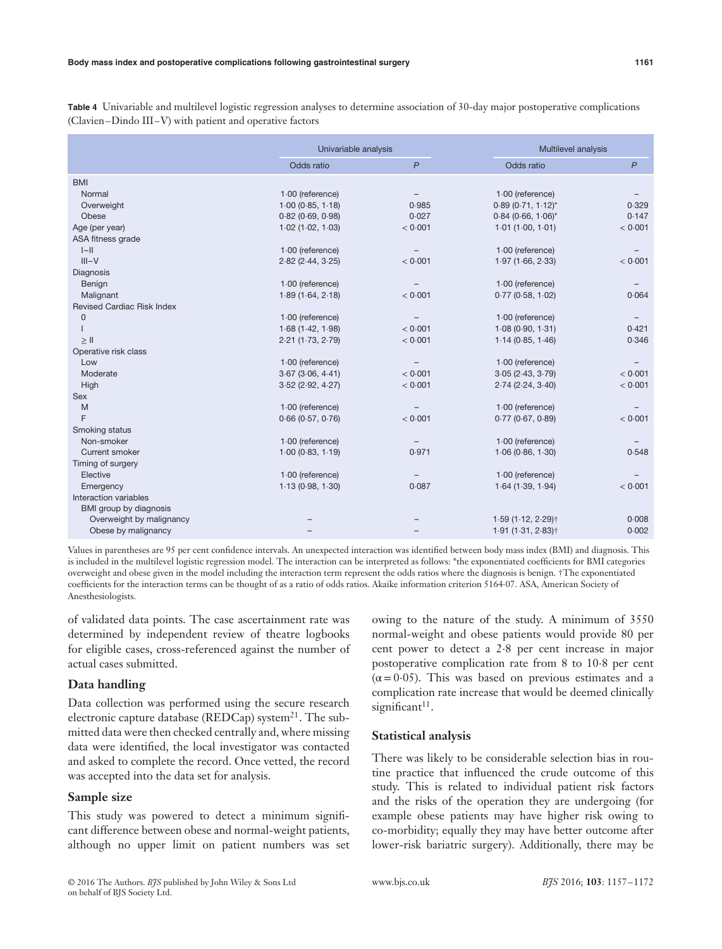**Table 4** Univariable and multilevel logistic regression analyses to determine association of 30-day major postoperative complications (Clavien–Dindo III–V) with patient and operative factors

|                                   | Univariable analysis       |              |                        | Multilevel analysis |  |
|-----------------------------------|----------------------------|--------------|------------------------|---------------------|--|
|                                   | Odds ratio                 | $\mathsf{P}$ | Odds ratio             | $\mathsf{P}$        |  |
| <b>BMI</b>                        |                            |              |                        |                     |  |
| Normal                            | $1.00$ (reference)         |              | $1.00$ (reference)     |                     |  |
| Overweight                        | 1.00(0.85, 1.18)           | 0.985        | $0.89(0.71, 1.12)^{*}$ | 0.329               |  |
| Obese                             | 0.82(0.69, 0.98)           | 0.027        | $0.84(0.66, 1.06)^{*}$ | 0.147               |  |
| Age (per year)                    | $1.02$ (1.02, $1.03$ )     | < 0.001      | 1.01(1.00, 1.01)       | < 0.001             |  |
| ASA fitness grade                 |                            |              |                        |                     |  |
| $I-I$                             | 1.00 (reference)           |              | $1.00$ (reference)     |                     |  |
| $III-V$                           | $2.82$ ( $2.44$ , $3.25$ ) | < 0.001      | 1.97(1.66, 2.33)       | < 0.001             |  |
| Diagnosis                         |                            |              |                        |                     |  |
| Benign                            | 1.00 (reference)           |              | $1.00$ (reference)     |                     |  |
| Malignant                         | 1.89(1.64, 2.18)           | < 0.001      | 0.77(0.58, 1.02)       | 0.064               |  |
| <b>Revised Cardiac Risk Index</b> |                            |              |                        |                     |  |
| $\mathbf{0}$                      | 1.00 (reference)           |              | $1.00$ (reference)     |                     |  |
|                                   | 1.68(1.42, 1.98)           | < 0.001      | 1.08(0.90, 1.31)       | 0.421               |  |
| $\geq$ II                         | 2.21(1.73, 2.79)           | < 0.001      | 1.14(0.85, 1.46)       | 0.346               |  |
| Operative risk class              |                            |              |                        |                     |  |
| Low                               | $1.00$ (reference)         |              | $1.00$ (reference)     |                     |  |
| Moderate                          | 3.67(3.06, 4.41)           | < 0.001      | 3.05(2.43, 3.79)       | < 0.001             |  |
| High                              | 3.52(2.92, 4.27)           | < 0.001      | 2.74(2.24, 3.40)       | < 0.001             |  |
| <b>Sex</b>                        |                            |              |                        |                     |  |
| M                                 | $1.00$ (reference)         |              | $1.00$ (reference)     |                     |  |
| F                                 | 0.66(0.57, 0.76)           | < 0.001      | 0.77(0.67, 0.89)       | < 0.001             |  |
| Smoking status                    |                            |              |                        |                     |  |
| Non-smoker                        | $1.00$ (reference)         |              | $1.00$ (reference)     |                     |  |
| Current smoker                    | 1.00(0.83, 1.19)           | 0.971        | 1.06(0.86, 1.30)       | 0.548               |  |
| Timing of surgery                 |                            |              |                        |                     |  |
| Elective                          | $1.00$ (reference)         |              | $1.00$ (reference)     |                     |  |
| Emergency                         | 1.13(0.98, 1.30)           | 0.087        | 1.64(1.39, 1.94)       | < 0.001             |  |
| Interaction variables             |                            |              |                        |                     |  |
| BMI group by diagnosis            |                            |              |                        |                     |  |
| Overweight by malignancy          |                            |              | $1.59(1.12, 2.29)$ †   | 0.008               |  |
| Obese by malignancy               |                            |              | 1.91 (1.31, 2.83)†     | 0.002               |  |

Values in parentheses are 95 per cent confidence intervals. An unexpected interaction was identified between body mass index (BMI) and diagnosis. This is included in the multilevel logistic regression model. The interaction can be interpreted as follows: \*the exponentiated coefficients for BMI categories overweight and obese given in the model including the interaction term represent the odds ratios where the diagnosis is benign. †The exponentiated coefficients for the interaction terms can be thought of as a ratio of odds ratios. Akaike information criterion 5164⋅07. ASA, American Society of Anesthesiologists.

of validated data points. The case ascertainment rate was determined by independent review of theatre logbooks for eligible cases, cross-referenced against the number of actual cases submitted.

## **Data handling**

Data collection was performed using the secure research electronic capture database (REDCap) system $^{21}$ . The submitted data were then checked centrally and, where missing data were identified, the local investigator was contacted and asked to complete the record. Once vetted, the record was accepted into the data set for analysis.

## **Sample size**

This study was powered to detect a minimum significant difference between obese and normal-weight patients, although no upper limit on patient numbers was set owing to the nature of the study. A minimum of 3550 normal-weight and obese patients would provide 80 per cent power to detect a 2⋅8 per cent increase in major postoperative complication rate from 8 to 10⋅8 per cent  $(\alpha = 0.05)$ . This was based on previous estimates and a complication rate increase that would be deemed clinically significant $11$ .

## **Statistical analysis**

There was likely to be considerable selection bias in routine practice that influenced the crude outcome of this study. This is related to individual patient risk factors and the risks of the operation they are undergoing (for example obese patients may have higher risk owing to co-morbidity; equally they may have better outcome after lower-risk bariatric surgery). Additionally, there may be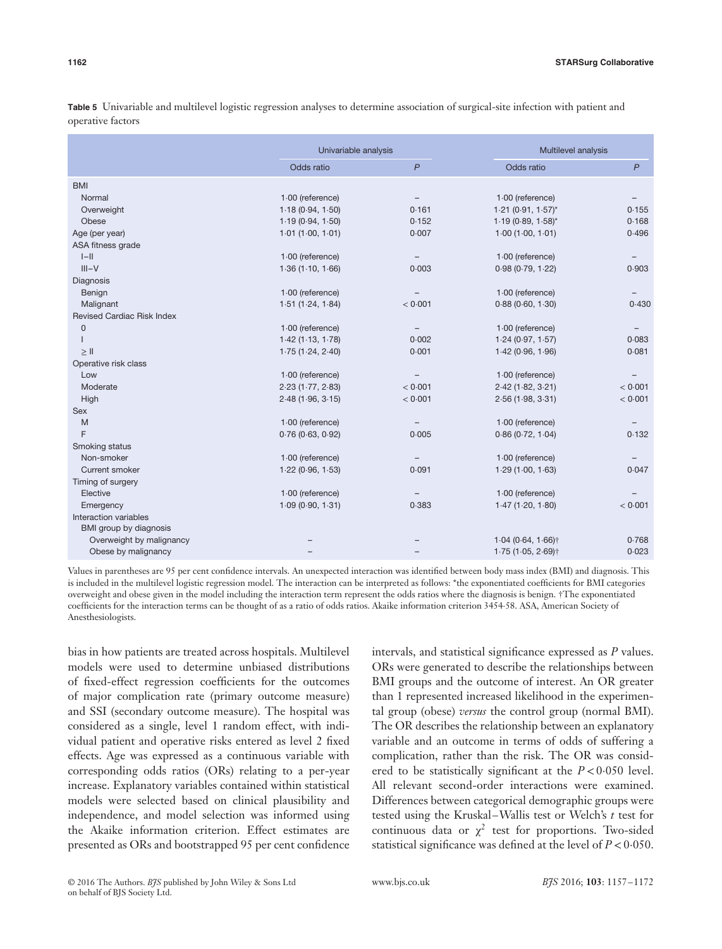|                                   |                    | Univariable analysis     |                         | Multilevel analysis |  |
|-----------------------------------|--------------------|--------------------------|-------------------------|---------------------|--|
|                                   | Odds ratio         | $\mathsf{P}$             | Odds ratio              | $\mathsf{P}$        |  |
| <b>BMI</b>                        |                    |                          |                         |                     |  |
| Normal                            | 1.00 (reference)   |                          | $1.00$ (reference)      |                     |  |
| Overweight                        | 1.18(0.94, 1.50)   | 0.161                    | $1.21 (0.91, 1.57)^{*}$ | 0.155               |  |
| Obese                             | 1.19(0.94, 1.50)   | 0.152                    | $1.19(0.89, 1.58)^{*}$  | 0.168               |  |
| Age (per year)                    | 1.01(1.00, 1.01)   | 0.007                    | 1.00(1.00, 1.01)        | 0.496               |  |
| ASA fitness grade                 |                    |                          |                         |                     |  |
| $ -  $                            | $1.00$ (reference) | $\overline{\phantom{m}}$ | $1.00$ (reference)      | -                   |  |
| $III-V$                           | 1.36(1.10, 1.66)   | 0.003                    | 0.98(0.79, 1.22)        | 0.903               |  |
| Diagnosis                         |                    |                          |                         |                     |  |
| Benign                            | 1.00 (reference)   |                          | $1.00$ (reference)      |                     |  |
| Malignant                         | 1.51(1.24, 1.84)   | < 0.001                  | 0.88(0.60, 1.30)        | 0.430               |  |
| <b>Revised Cardiac Risk Index</b> |                    |                          |                         |                     |  |
| $\mathbf 0$                       | 1.00 (reference)   | $\overline{\phantom{m}}$ | $1.00$ (reference)      |                     |  |
|                                   | 1.42(1.13, 1.78)   | 0.002                    | 1.24(0.97, 1.57)        | 0.083               |  |
| $\geq$ II                         | 1.75(1.24, 2.40)   | 0.001                    | 1.42(0.96, 1.96)        | 0.081               |  |
| Operative risk class              |                    |                          |                         |                     |  |
| Low                               | $1.00$ (reference) |                          | $1.00$ (reference)      |                     |  |
| Moderate                          | 2.23(1.77, 2.83)   | < 0.001                  | 2.42(1.82, 3.21)        | < 0.001             |  |
| High                              | 2.48(1.96, 3.15)   | < 0.001                  | 2.56(1.98, 3.31)        | < 0.001             |  |
| <b>Sex</b>                        |                    |                          |                         |                     |  |
| M                                 | $1.00$ (reference) | $\overline{\phantom{m}}$ | $1.00$ (reference)      |                     |  |
| F                                 | 0.76(0.63, 0.92)   | 0.005                    | 0.86(0.72, 1.04)        | 0.132               |  |
| Smoking status                    |                    |                          |                         |                     |  |
| Non-smoker                        | $1.00$ (reference) |                          | $1.00$ (reference)      |                     |  |
| Current smoker                    | 1.22(0.96, 1.53)   | 0.091                    | 1.29(1.00, 1.63)        | 0.047               |  |
| Timing of surgery                 |                    |                          |                         |                     |  |
| Elective                          | 1.00 (reference)   |                          | $1.00$ (reference)      |                     |  |
| Emergency                         | 1.09(0.90, 1.31)   | 0.383                    | 1.47(1.20, 1.80)        | < 0.001             |  |
| Interaction variables             |                    |                          |                         |                     |  |
| BMI group by diagnosis            |                    |                          |                         |                     |  |
| Overweight by malignancy          |                    |                          | $1.04(0.64, 1.66)$ †    | 0.768               |  |
| Obese by malignancy               |                    |                          | $1.75(1.05, 2.69)$ †    | 0.023               |  |

**Table 5** Univariable and multilevel logistic regression analyses to determine association of surgical-site infection with patient and operative factors

Values in parentheses are 95 per cent confidence intervals. An unexpected interaction was identified between body mass index (BMI) and diagnosis. This is included in the multilevel logistic regression model. The interaction can be interpreted as follows: \*the exponentiated coefficients for BMI categories overweight and obese given in the model including the interaction term represent the odds ratios where the diagnosis is benign. †The exponentiated coefficients for the interaction terms can be thought of as a ratio of odds ratios. Akaike information criterion 3454⋅58. ASA, American Society of Anesthesiologists.

bias in how patients are treated across hospitals. Multilevel models were used to determine unbiased distributions of fixed-effect regression coefficients for the outcomes of major complication rate (primary outcome measure) and SSI (secondary outcome measure). The hospital was considered as a single, level 1 random effect, with individual patient and operative risks entered as level 2 fixed effects. Age was expressed as a continuous variable with corresponding odds ratios (ORs) relating to a per-year increase. Explanatory variables contained within statistical models were selected based on clinical plausibility and independence, and model selection was informed using the Akaike information criterion. Effect estimates are presented as ORs and bootstrapped 95 per cent confidence

intervals, and statistical significance expressed as *P* values. ORs were generated to describe the relationships between BMI groups and the outcome of interest. An OR greater than 1 represented increased likelihood in the experimental group (obese) *versus* the control group (normal BMI). The OR describes the relationship between an explanatory variable and an outcome in terms of odds of suffering a complication, rather than the risk. The OR was considered to be statistically significant at the *P <*0⋅050 level. All relevant second-order interactions were examined. Differences between categorical demographic groups were tested using the Kruskal–Wallis test or Welch's *t* test for continuous data or  $\chi^2$  test for proportions. Two-sided statistical significance was defined at the level of *P <*0⋅050.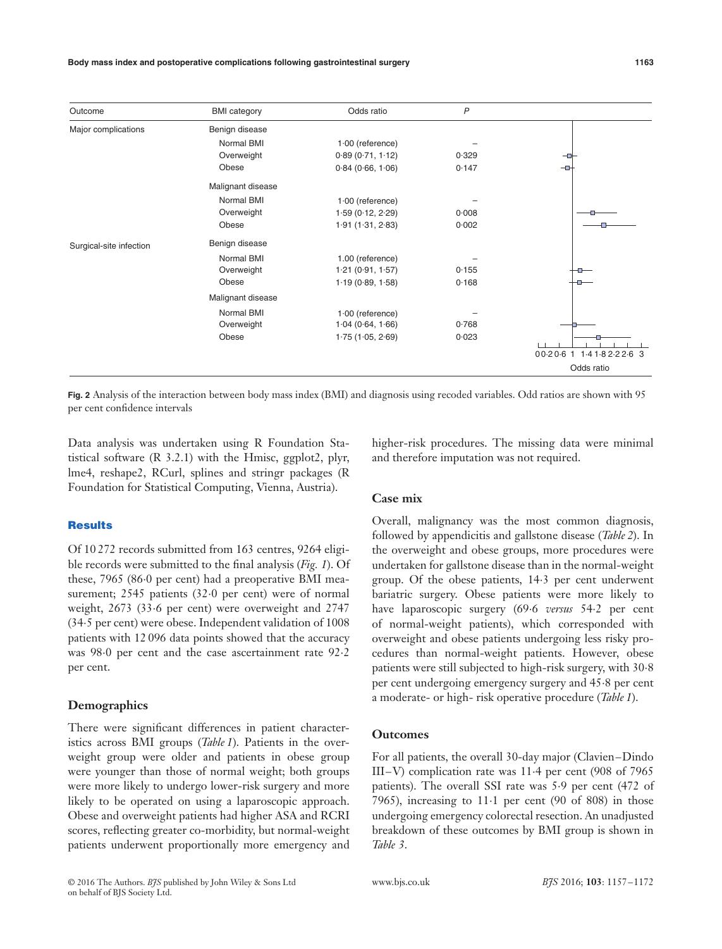**Body mass index and postoperative complications following gastrointestinal surgery 1163**

| Outcome                 | <b>BMI</b> category | Odds ratio         | $\mathsf{P}$ |                             |
|-------------------------|---------------------|--------------------|--------------|-----------------------------|
| Major complications     | Benign disease      |                    |              |                             |
|                         | Normal BMI          | $1.00$ (reference) |              |                             |
|                         | Overweight          | 0.89(0.71, 1.12)   | 0.329        | ᅩ                           |
|                         | Obese               | 0.84(0.66, 1.06)   | 0.147        | -0-                         |
|                         | Malignant disease   |                    |              |                             |
|                         | Normal BMI          | $1.00$ (reference) |              |                             |
|                         | Overweight          | 1.59(0.12, 2.29)   | 0.008        |                             |
|                         | Obese               | 1.91(1.31, 2.83)   | 0.002        |                             |
| Surgical-site infection | Benign disease      |                    |              |                             |
|                         | Normal BMI          | 1.00 (reference)   |              |                             |
|                         | Overweight          | 1.21(0.91, 1.57)   | 0.155        |                             |
|                         | Obese               | 1.19(0.89, 1.58)   | 0.168        |                             |
|                         | Malignant disease   |                    |              |                             |
|                         | Normal BMI          | $1.00$ (reference) |              |                             |
|                         | Overweight          | 1.04(0.64, 1.66)   | 0.768        |                             |
|                         | Obese               | 1.75(1.05, 2.69)   | 0.023        | 00.20.6 1 1.4 1.8 2.2 2.6 3 |
|                         |                     |                    |              | Odds ratio                  |

**Fig. 2** Analysis of the interaction between body mass index (BMI) and diagnosis using recoded variables. Odd ratios are shown with 95 per cent confidence intervals

Data analysis was undertaken using R Foundation Statistical software (R 3.2.1) with the Hmisc, ggplot2, plyr, lme4, reshape2, RCurl, splines and stringr packages (R Foundation for Statistical Computing, Vienna, Austria).

## **Results**

Of 10 272 records submitted from 163 centres, 9264 eligible records were submitted to the final analysis (*Fig. 1*). Of these, 7965 (86⋅0 per cent) had a preoperative BMI measurement; 2545 patients (32⋅0 per cent) were of normal weight, 2673 (33⋅6 per cent) were overweight and 2747 (34⋅5 per cent) were obese. Independent validation of 1008 patients with 12 096 data points showed that the accuracy was 98⋅0 per cent and the case ascertainment rate 92⋅2 per cent.

## **Demographics**

There were significant differences in patient characteristics across BMI groups (*Table 1*). Patients in the overweight group were older and patients in obese group were younger than those of normal weight; both groups were more likely to undergo lower-risk surgery and more likely to be operated on using a laparoscopic approach. Obese and overweight patients had higher ASA and RCRI scores, reflecting greater co-morbidity, but normal-weight patients underwent proportionally more emergency and

higher-risk procedures. The missing data were minimal and therefore imputation was not required.

## **Case mix**

Overall, malignancy was the most common diagnosis, followed by appendicitis and gallstone disease (*Table 2*). In the overweight and obese groups, more procedures were undertaken for gallstone disease than in the normal-weight group. Of the obese patients, 14⋅3 per cent underwent bariatric surgery. Obese patients were more likely to have laparoscopic surgery (69⋅6 *versus* 54⋅2 per cent of normal-weight patients), which corresponded with overweight and obese patients undergoing less risky procedures than normal-weight patients. However, obese patients were still subjected to high-risk surgery, with 30⋅8 per cent undergoing emergency surgery and 45⋅8 per cent a moderate- or high- risk operative procedure (*Table 1*).

## **Outcomes**

For all patients, the overall 30-day major (Clavien–Dindo III–V) complication rate was 11⋅4 per cent (908 of 7965 patients). The overall SSI rate was 5⋅9 per cent (472 of 7965), increasing to 11⋅1 per cent (90 of 808) in those undergoing emergency colorectal resection. An unadjusted breakdown of these outcomes by BMI group is shown in *Table 3*.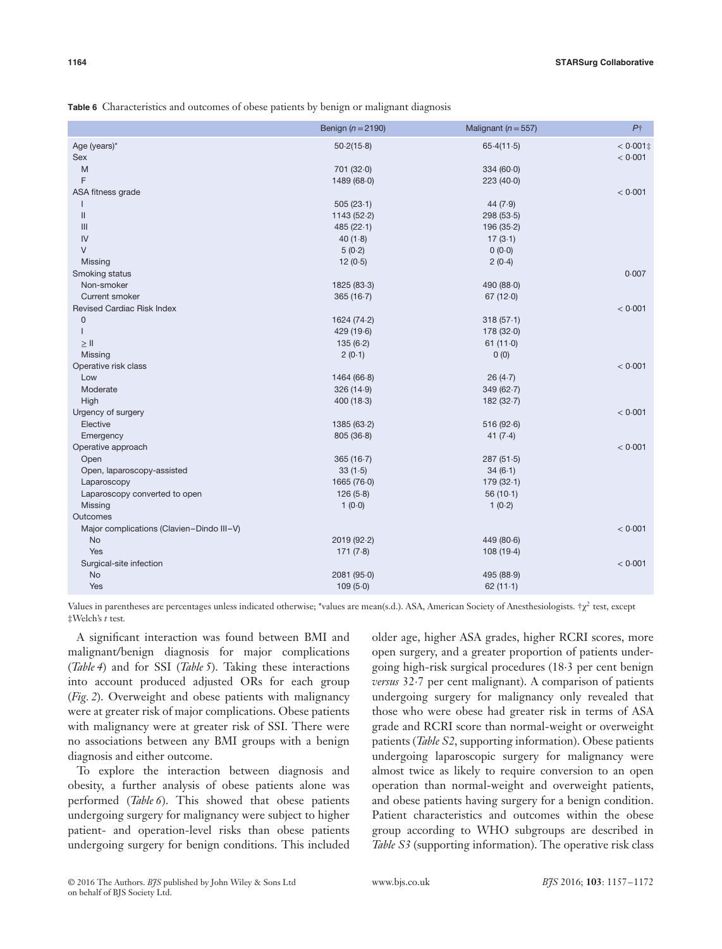**Table 6** Characteristics and outcomes of obese patients by benign or malignant diagnosis

|                                           | Benign ( $n = 2190$ ) | Malignant ( $n = 557$ ) | $P+$        |
|-------------------------------------------|-----------------------|-------------------------|-------------|
| Age (years)*                              | 50.2(15.8)            | 65.4(11.5)              | $< 0.001$ ‡ |
| Sex                                       |                       |                         | < 0.001     |
| M                                         | 701 (32.0)            | 334(60.0)               |             |
| F                                         | 1489 (68.0)           | 223(40.0)               |             |
| ASA fitness grade                         |                       |                         | < 0.001     |
|                                           | 505(23.1)             | 44(7.9)                 |             |
| $\mathbf{II}$                             | 1143(52.2)            | 298(53.5)               |             |
| III                                       | 485(22.1)             | 196 (35-2)              |             |
| IV                                        | 40(1.8)               | 17(3.1)                 |             |
| $\vee$                                    | 5(0.2)                | 0(0.0)                  |             |
| Missing                                   | 12(0.5)               | 2(0.4)                  |             |
| Smoking status                            |                       |                         | 0.007       |
| Non-smoker                                | 1825 (83-3)           | 490 (88.0)              |             |
| <b>Current smoker</b>                     | 365(16.7)             | 67(12.0)                |             |
| Revised Cardiac Risk Index                |                       |                         | < 0.001     |
| $\mathbf 0$                               | 1624 (74.2)           | 318(57.1)               |             |
|                                           | 429 (19.6)            | 178(32.0)               |             |
| $\geq$ II                                 | 135(6.2)              | 61(11.0)                |             |
| Missing                                   | 2(0.1)                | 0(0)                    |             |
| Operative risk class                      |                       |                         | < 0.001     |
| Low                                       | 1464(66.8)            | 26(4.7)                 |             |
| Moderate                                  | 326(14.9)             | 349(62.7)               |             |
| High                                      | 400(18.3)             | 182(32.7)               |             |
| Urgency of surgery                        |                       |                         | < 0.001     |
| Elective                                  | 1385 (63-2)           | 516(92.6)               |             |
| Emergency                                 | 805(36.8)             | 41 $(7.4)$              |             |
| Operative approach                        |                       |                         | < 0.001     |
| Open                                      | 365(16.7)             | 287(51.5)               |             |
| Open, laparoscopy-assisted                | 33(1.5)               | 34(6.1)                 |             |
| Laparoscopy                               | 1665 (76.0)           | 179(32.1)               |             |
| Laparoscopy converted to open             | 126(5.8)              | 56(10.1)                |             |
| Missing                                   | 1(0.0)                | 1(0.2)                  |             |
| Outcomes                                  |                       |                         |             |
| Major complications (Clavien-Dindo III-V) |                       |                         | < 0.001     |
| <b>No</b>                                 | 2019 (92.2)           | 449(80.6)               |             |
| Yes                                       | 171(7.8)              | 108 (19-4)              |             |
| Surgical-site infection                   |                       |                         | < 0.001     |
| <b>No</b>                                 | 2081 (95.0)           | 495 (88.9)              |             |
| Yes                                       | 109(5.0)              | 62(11.1)                |             |
|                                           |                       |                         |             |

Values in parentheses are percentages unless indicated otherwise; \*values are mean(s.d.). ASA, American Society of Anesthesiologists. †χ<sup>2</sup> test, except ‡Welch's *t* test*.*

A significant interaction was found between BMI and malignant/benign diagnosis for major complications (*Table 4*) and for SSI (*Table 5*). Taking these interactions into account produced adjusted ORs for each group (*Fig. 2*). Overweight and obese patients with malignancy were at greater risk of major complications. Obese patients with malignancy were at greater risk of SSI. There were no associations between any BMI groups with a benign diagnosis and either outcome.

To explore the interaction between diagnosis and obesity, a further analysis of obese patients alone was performed (*Table 6*). This showed that obese patients undergoing surgery for malignancy were subject to higher patient- and operation-level risks than obese patients undergoing surgery for benign conditions. This included

older age, higher ASA grades, higher RCRI scores, more open surgery, and a greater proportion of patients undergoing high-risk surgical procedures (18⋅3 per cent benign *versus* 32⋅7 per cent malignant). A comparison of patients undergoing surgery for malignancy only revealed that those who were obese had greater risk in terms of ASA grade and RCRI score than normal-weight or overweight patients (*Table S2*, supporting information). Obese patients undergoing laparoscopic surgery for malignancy were almost twice as likely to require conversion to an open operation than normal-weight and overweight patients, and obese patients having surgery for a benign condition. Patient characteristics and outcomes within the obese group according to WHO subgroups are described in *Table S3* (supporting information). The operative risk class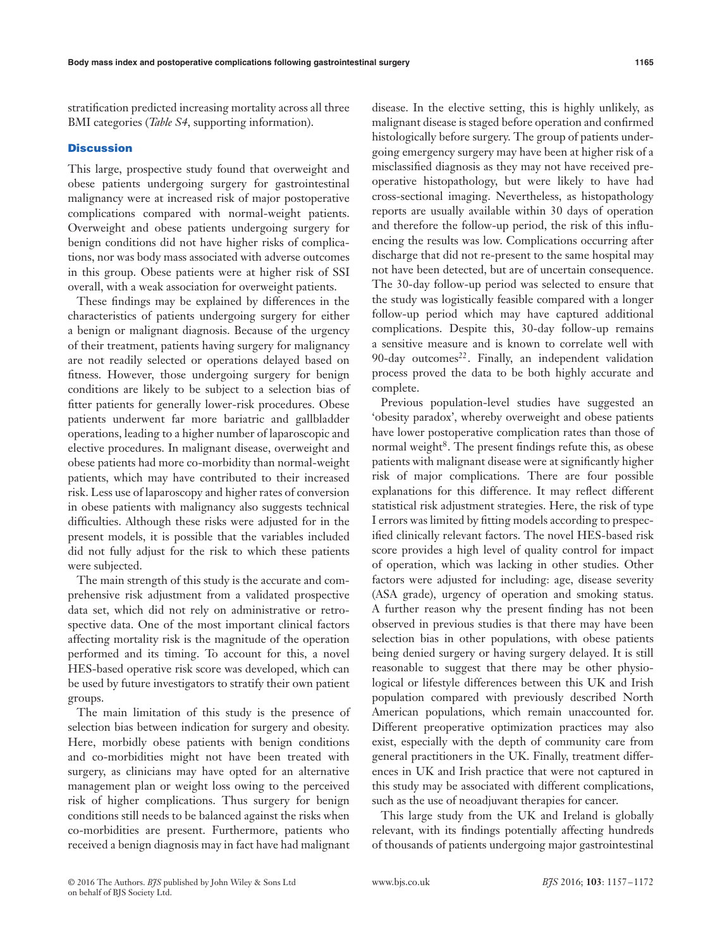stratification predicted increasing mortality across all three BMI categories (*Table S4*, supporting information).

#### **Discussion**

This large, prospective study found that overweight and obese patients undergoing surgery for gastrointestinal malignancy were at increased risk of major postoperative complications compared with normal-weight patients. Overweight and obese patients undergoing surgery for benign conditions did not have higher risks of complications, nor was body mass associated with adverse outcomes in this group. Obese patients were at higher risk of SSI overall, with a weak association for overweight patients.

These findings may be explained by differences in the characteristics of patients undergoing surgery for either a benign or malignant diagnosis. Because of the urgency of their treatment, patients having surgery for malignancy are not readily selected or operations delayed based on fitness. However, those undergoing surgery for benign conditions are likely to be subject to a selection bias of fitter patients for generally lower-risk procedures. Obese patients underwent far more bariatric and gallbladder operations, leading to a higher number of laparoscopic and elective procedures. In malignant disease, overweight and obese patients had more co-morbidity than normal-weight patients, which may have contributed to their increased risk. Less use of laparoscopy and higher rates of conversion in obese patients with malignancy also suggests technical difficulties. Although these risks were adjusted for in the present models, it is possible that the variables included did not fully adjust for the risk to which these patients were subjected.

The main strength of this study is the accurate and comprehensive risk adjustment from a validated prospective data set, which did not rely on administrative or retrospective data. One of the most important clinical factors affecting mortality risk is the magnitude of the operation performed and its timing. To account for this, a novel HES-based operative risk score was developed, which can be used by future investigators to stratify their own patient groups.

The main limitation of this study is the presence of selection bias between indication for surgery and obesity. Here, morbidly obese patients with benign conditions and co-morbidities might not have been treated with surgery, as clinicians may have opted for an alternative management plan or weight loss owing to the perceived risk of higher complications. Thus surgery for benign conditions still needs to be balanced against the risks when co-morbidities are present. Furthermore, patients who received a benign diagnosis may in fact have had malignant disease. In the elective setting, this is highly unlikely, as malignant disease is staged before operation and confirmed histologically before surgery. The group of patients undergoing emergency surgery may have been at higher risk of a misclassified diagnosis as they may not have received preoperative histopathology, but were likely to have had cross-sectional imaging. Nevertheless, as histopathology reports are usually available within 30 days of operation and therefore the follow-up period, the risk of this influencing the results was low. Complications occurring after discharge that did not re-present to the same hospital may not have been detected, but are of uncertain consequence. The 30-day follow-up period was selected to ensure that the study was logistically feasible compared with a longer follow-up period which may have captured additional complications. Despite this, 30-day follow-up remains a sensitive measure and is known to correlate well with 90-day outcomes<sup>22</sup>. Finally, an independent validation process proved the data to be both highly accurate and complete.

Previous population-level studies have suggested an 'obesity paradox', whereby overweight and obese patients have lower postoperative complication rates than those of normal weight $8$ . The present findings refute this, as obese patients with malignant disease were at significantly higher risk of major complications. There are four possible explanations for this difference. It may reflect different statistical risk adjustment strategies. Here, the risk of type I errors was limited by fitting models according to prespecified clinically relevant factors. The novel HES-based risk score provides a high level of quality control for impact of operation, which was lacking in other studies. Other factors were adjusted for including: age, disease severity (ASA grade), urgency of operation and smoking status. A further reason why the present finding has not been observed in previous studies is that there may have been selection bias in other populations, with obese patients being denied surgery or having surgery delayed. It is still reasonable to suggest that there may be other physiological or lifestyle differences between this UK and Irish population compared with previously described North American populations, which remain unaccounted for. Different preoperative optimization practices may also exist, especially with the depth of community care from general practitioners in the UK. Finally, treatment differences in UK and Irish practice that were not captured in this study may be associated with different complications, such as the use of neoadjuvant therapies for cancer.

This large study from the UK and Ireland is globally relevant, with its findings potentially affecting hundreds of thousands of patients undergoing major gastrointestinal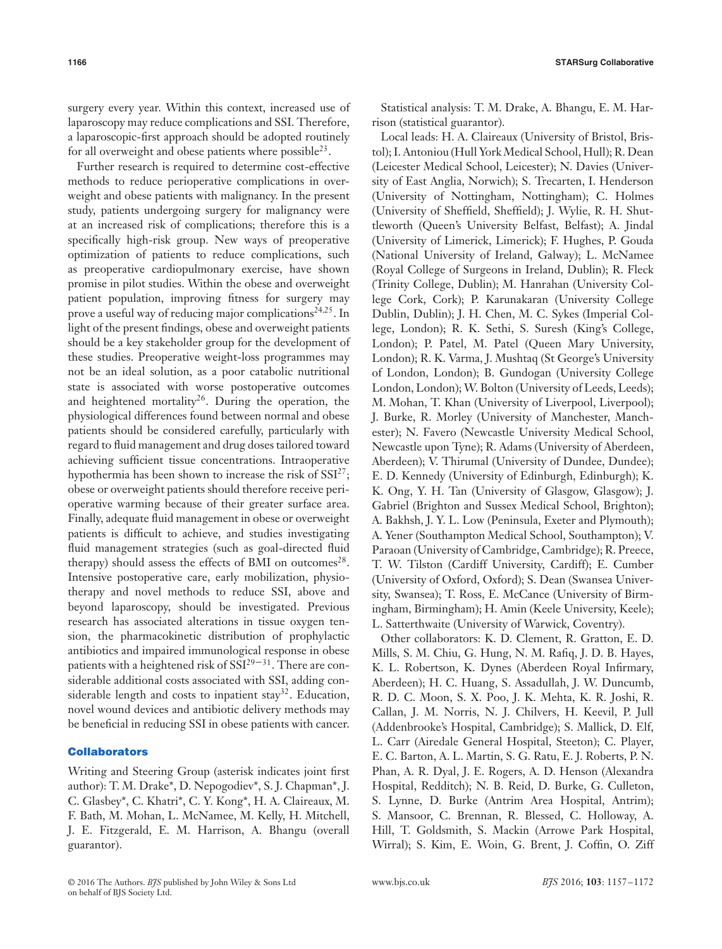surgery every year. Within this context, increased use of laparoscopy may reduce complications and SSI. Therefore, a laparoscopic-first approach should be adopted routinely for all overweight and obese patients where possible23.

Further research is required to determine cost-effective methods to reduce perioperative complications in overweight and obese patients with malignancy. In the present study, patients undergoing surgery for malignancy were at an increased risk of complications; therefore this is a specifically high-risk group. New ways of preoperative optimization of patients to reduce complications, such as preoperative cardiopulmonary exercise, have shown promise in pilot studies. Within the obese and overweight patient population, improving fitness for surgery may prove a useful way of reducing major complications<sup>24,25</sup>. In light of the present findings, obese and overweight patients should be a key stakeholder group for the development of these studies. Preoperative weight-loss programmes may not be an ideal solution, as a poor catabolic nutritional state is associated with worse postoperative outcomes and heightened mortality<sup>26</sup>. During the operation, the physiological differences found between normal and obese patients should be considered carefully, particularly with regard to fluid management and drug doses tailored toward achieving sufficient tissue concentrations. Intraoperative hypothermia has been shown to increase the risk of  $SSI^{27}$ ; obese or overweight patients should therefore receive perioperative warming because of their greater surface area. Finally, adequate fluid management in obese or overweight patients is difficult to achieve, and studies investigating fluid management strategies (such as goal-directed fluid therapy) should assess the effects of BMI on outcomes<sup>28</sup>. Intensive postoperative care, early mobilization, physiotherapy and novel methods to reduce SSI, above and beyond laparoscopy, should be investigated. Previous research has associated alterations in tissue oxygen tension, the pharmacokinetic distribution of prophylactic antibiotics and impaired immunological response in obese patients with a heightened risk of  $SSI^{29-31}$ . There are considerable additional costs associated with SSI, adding considerable length and costs to inpatient stay<sup>32</sup>. Education, novel wound devices and antibiotic delivery methods may be beneficial in reducing SSI in obese patients with cancer.

#### **Collaborators**

Writing and Steering Group (asterisk indicates joint first author): T. M. Drake\*, D. Nepogodiev\*, S. J. Chapman\*, J. C. Glasbey\*, C. Khatri\*, C. Y. Kong\*, H. A. Claireaux, M. F. Bath, M. Mohan, L. McNamee, M. Kelly, H. Mitchell, J. E. Fitzgerald, E. M. Harrison, A. Bhangu (overall guarantor).

Statistical analysis: T. M. Drake, A. Bhangu, E. M. Harrison (statistical guarantor).

Local leads: H. A. Claireaux (University of Bristol, Bristol); I. Antoniou (Hull York Medical School, Hull); R. Dean (Leicester Medical School, Leicester); N. Davies (University of East Anglia, Norwich); S. Trecarten, I. Henderson (University of Nottingham, Nottingham); C. Holmes (University of Sheffield, Sheffield); J. Wylie, R. H. Shuttleworth (Queen's University Belfast, Belfast); A. Jindal (University of Limerick, Limerick); F. Hughes, P. Gouda (National University of Ireland, Galway); L. McNamee (Royal College of Surgeons in Ireland, Dublin); R. Fleck (Trinity College, Dublin); M. Hanrahan (University College Cork, Cork); P. Karunakaran (University College Dublin, Dublin); J. H. Chen, M. C. Sykes (Imperial College, London); R. K. Sethi, S. Suresh (King's College, London); P. Patel, M. Patel (Queen Mary University, London); R. K. Varma, J. Mushtaq (St George's University of London, London); B. Gundogan (University College London, London); W. Bolton (University of Leeds, Leeds); M. Mohan, T. Khan (University of Liverpool, Liverpool); J. Burke, R. Morley (University of Manchester, Manchester); N. Favero (Newcastle University Medical School, Newcastle upon Tyne); R. Adams (University of Aberdeen, Aberdeen); V. Thirumal (University of Dundee, Dundee); E. D. Kennedy (University of Edinburgh, Edinburgh); K. K. Ong, Y. H. Tan (University of Glasgow, Glasgow); J. Gabriel (Brighton and Sussex Medical School, Brighton); A. Bakhsh, J. Y. L. Low (Peninsula, Exeter and Plymouth); A. Yener (Southampton Medical School, Southampton); V. Paraoan (University of Cambridge, Cambridge); R. Preece, T. W. Tilston (Cardiff University, Cardiff); E. Cumber (University of Oxford, Oxford); S. Dean (Swansea University, Swansea); T. Ross, E. McCance (University of Birmingham, Birmingham); H. Amin (Keele University, Keele); L. Satterthwaite (University of Warwick, Coventry).

Other collaborators: K. D. Clement, R. Gratton, E. D. Mills, S. M. Chiu, G. Hung, N. M. Rafiq, J. D. B. Hayes, K. L. Robertson, K. Dynes (Aberdeen Royal Infirmary, Aberdeen); H. C. Huang, S. Assadullah, J. W. Duncumb, R. D. C. Moon, S. X. Poo, J. K. Mehta, K. R. Joshi, R. Callan, J. M. Norris, N. J. Chilvers, H. Keevil, P. Jull (Addenbrooke's Hospital, Cambridge); S. Mallick, D. Elf, L. Carr (Airedale General Hospital, Steeton); C. Player, E. C. Barton, A. L. Martin, S. G. Ratu, E. J. Roberts, P. N. Phan, A. R. Dyal, J. E. Rogers, A. D. Henson (Alexandra Hospital, Redditch); N. B. Reid, D. Burke, G. Culleton, S. Lynne, D. Burke (Antrim Area Hospital, Antrim); S. Mansoor, C. Brennan, R. Blessed, C. Holloway, A. Hill, T. Goldsmith, S. Mackin (Arrowe Park Hospital, Wirral); S. Kim, E. Woin, G. Brent, J. Coffin, O. Ziff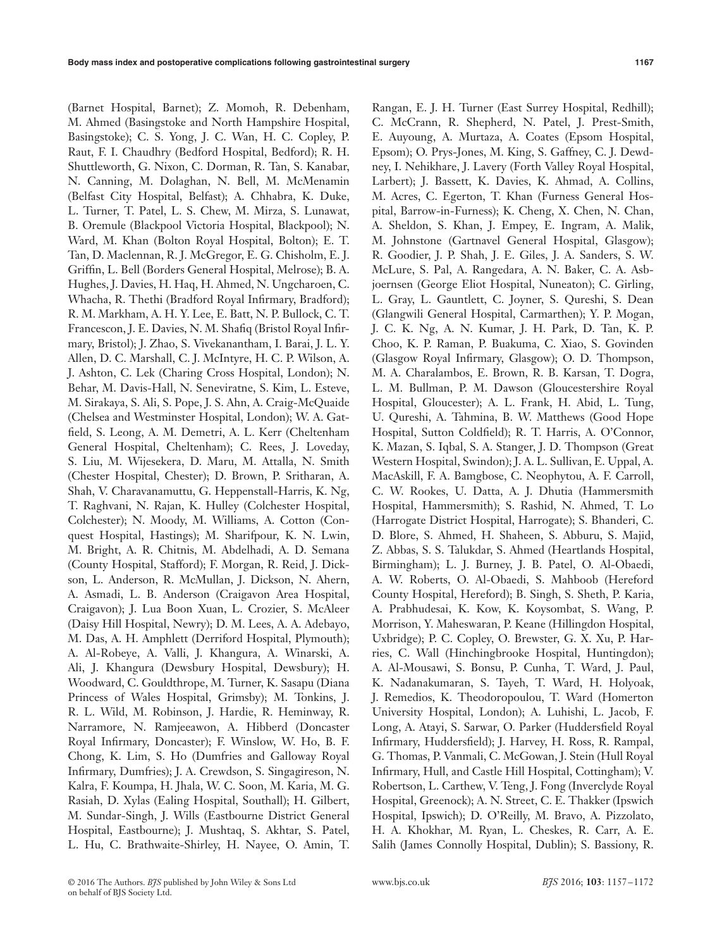(Barnet Hospital, Barnet); Z. Momoh, R. Debenham, M. Ahmed (Basingstoke and North Hampshire Hospital, Basingstoke); C. S. Yong, J. C. Wan, H. C. Copley, P. Raut, F. I. Chaudhry (Bedford Hospital, Bedford); R. H. Shuttleworth, G. Nixon, C. Dorman, R. Tan, S. Kanabar, N. Canning, M. Dolaghan, N. Bell, M. McMenamin (Belfast City Hospital, Belfast); A. Chhabra, K. Duke, L. Turner, T. Patel, L. S. Chew, M. Mirza, S. Lunawat, B. Oremule (Blackpool Victoria Hospital, Blackpool); N. Ward, M. Khan (Bolton Royal Hospital, Bolton); E. T. Tan, D. Maclennan, R. J. McGregor, E. G. Chisholm, E. J. Griffin, L. Bell (Borders General Hospital, Melrose); B. A. Hughes, J. Davies, H. Haq, H. Ahmed, N. Ungcharoen, C. Whacha, R. Thethi (Bradford Royal Infirmary, Bradford); R. M. Markham, A. H. Y. Lee, E. Batt, N. P. Bullock, C. T. Francescon, J. E. Davies, N. M. Shafiq (Bristol Royal Infirmary, Bristol); J. Zhao, S. Vivekanantham, I. Barai, J. L. Y. Allen, D. C. Marshall, C. J. McIntyre, H. C. P. Wilson, A. J. Ashton, C. Lek (Charing Cross Hospital, London); N. Behar, M. Davis-Hall, N. Seneviratne, S. Kim, L. Esteve, M. Sirakaya, S. Ali, S. Pope, J. S. Ahn, A. Craig-McQuaide (Chelsea and Westminster Hospital, London); W. A. Gatfield, S. Leong, A. M. Demetri, A. L. Kerr (Cheltenham General Hospital, Cheltenham); C. Rees, J. Loveday, S. Liu, M. Wijesekera, D. Maru, M. Attalla, N. Smith (Chester Hospital, Chester); D. Brown, P. Sritharan, A. Shah, V. Charavanamuttu, G. Heppenstall-Harris, K. Ng, T. Raghvani, N. Rajan, K. Hulley (Colchester Hospital, Colchester); N. Moody, M. Williams, A. Cotton (Conquest Hospital, Hastings); M. Sharifpour, K. N. Lwin, M. Bright, A. R. Chitnis, M. Abdelhadi, A. D. Semana (County Hospital, Stafford); F. Morgan, R. Reid, J. Dickson, L. Anderson, R. McMullan, J. Dickson, N. Ahern, A. Asmadi, L. B. Anderson (Craigavon Area Hospital, Craigavon); J. Lua Boon Xuan, L. Crozier, S. McAleer (Daisy Hill Hospital, Newry); D. M. Lees, A. A. Adebayo, M. Das, A. H. Amphlett (Derriford Hospital, Plymouth); A. Al-Robeye, A. Valli, J. Khangura, A. Winarski, A. Ali, J. Khangura (Dewsbury Hospital, Dewsbury); H. Woodward, C. Gouldthrope, M. Turner, K. Sasapu (Diana Princess of Wales Hospital, Grimsby); M. Tonkins, J. R. L. Wild, M. Robinson, J. Hardie, R. Heminway, R. Narramore, N. Ramjeeawon, A. Hibberd (Doncaster Royal Infirmary, Doncaster); F. Winslow, W. Ho, B. F. Chong, K. Lim, S. Ho (Dumfries and Galloway Royal Infirmary, Dumfries); J. A. Crewdson, S. Singagireson, N. Kalra, F. Koumpa, H. Jhala, W. C. Soon, M. Karia, M. G. Rasiah, D. Xylas (Ealing Hospital, Southall); H. Gilbert, M. Sundar-Singh, J. Wills (Eastbourne District General Hospital, Eastbourne); J. Mushtaq, S. Akhtar, S. Patel, L. Hu, C. Brathwaite-Shirley, H. Nayee, O. Amin, T.

Rangan, E. J. H. Turner (East Surrey Hospital, Redhill); C. McCrann, R. Shepherd, N. Patel, J. Prest-Smith, E. Auyoung, A. Murtaza, A. Coates (Epsom Hospital, Epsom); O. Prys-Jones, M. King, S. Gaffney, C. J. Dewdney, I. Nehikhare, J. Lavery (Forth Valley Royal Hospital, Larbert); J. Bassett, K. Davies, K. Ahmad, A. Collins, M. Acres, C. Egerton, T. Khan (Furness General Hospital, Barrow-in-Furness); K. Cheng, X. Chen, N. Chan, A. Sheldon, S. Khan, J. Empey, E. Ingram, A. Malik, M. Johnstone (Gartnavel General Hospital, Glasgow); R. Goodier, J. P. Shah, J. E. Giles, J. A. Sanders, S. W. McLure, S. Pal, A. Rangedara, A. N. Baker, C. A. Asbjoernsen (George Eliot Hospital, Nuneaton); C. Girling, L. Gray, L. Gauntlett, C. Joyner, S. Qureshi, S. Dean (Glangwili General Hospital, Carmarthen); Y. P. Mogan, J. C. K. Ng, A. N. Kumar, J. H. Park, D. Tan, K. P. Choo, K. P. Raman, P. Buakuma, C. Xiao, S. Govinden (Glasgow Royal Infirmary, Glasgow); O. D. Thompson, M. A. Charalambos, E. Brown, R. B. Karsan, T. Dogra, L. M. Bullman, P. M. Dawson (Gloucestershire Royal Hospital, Gloucester); A. L. Frank, H. Abid, L. Tung, U. Qureshi, A. Tahmina, B. W. Matthews (Good Hope Hospital, Sutton Coldfield); R. T. Harris, A. O'Connor, K. Mazan, S. Iqbal, S. A. Stanger, J. D. Thompson (Great Western Hospital, Swindon); J. A. L. Sullivan, E. Uppal, A. MacAskill, F. A. Bamgbose, C. Neophytou, A. F. Carroll, C. W. Rookes, U. Datta, A. J. Dhutia (Hammersmith Hospital, Hammersmith); S. Rashid, N. Ahmed, T. Lo (Harrogate District Hospital, Harrogate); S. Bhanderi, C. D. Blore, S. Ahmed, H. Shaheen, S. Abburu, S. Majid, Z. Abbas, S. S. Talukdar, S. Ahmed (Heartlands Hospital, Birmingham); L. J. Burney, J. B. Patel, O. Al-Obaedi, A. W. Roberts, O. Al-Obaedi, S. Mahboob (Hereford County Hospital, Hereford); B. Singh, S. Sheth, P. Karia, A. Prabhudesai, K. Kow, K. Koysombat, S. Wang, P. Morrison, Y. Maheswaran, P. Keane (Hillingdon Hospital, Uxbridge); P. C. Copley, O. Brewster, G. X. Xu, P. Harries, C. Wall (Hinchingbrooke Hospital, Huntingdon); A. Al-Mousawi, S. Bonsu, P. Cunha, T. Ward, J. Paul, K. Nadanakumaran, S. Tayeh, T. Ward, H. Holyoak, J. Remedios, K. Theodoropoulou, T. Ward (Homerton University Hospital, London); A. Luhishi, L. Jacob, F. Long, A. Atayi, S. Sarwar, O. Parker (Huddersfield Royal Infirmary, Huddersfield); J. Harvey, H. Ross, R. Rampal, G. Thomas, P. Vanmali, C. McGowan, J. Stein (Hull Royal Infirmary, Hull, and Castle Hill Hospital, Cottingham); V. Robertson, L. Carthew, V. Teng, J. Fong (Inverclyde Royal Hospital, Greenock); A. N. Street, C. E. Thakker (Ipswich Hospital, Ipswich); D. O'Reilly, M. Bravo, A. Pizzolato, H. A. Khokhar, M. Ryan, L. Cheskes, R. Carr, A. E. Salih (James Connolly Hospital, Dublin); S. Bassiony, R.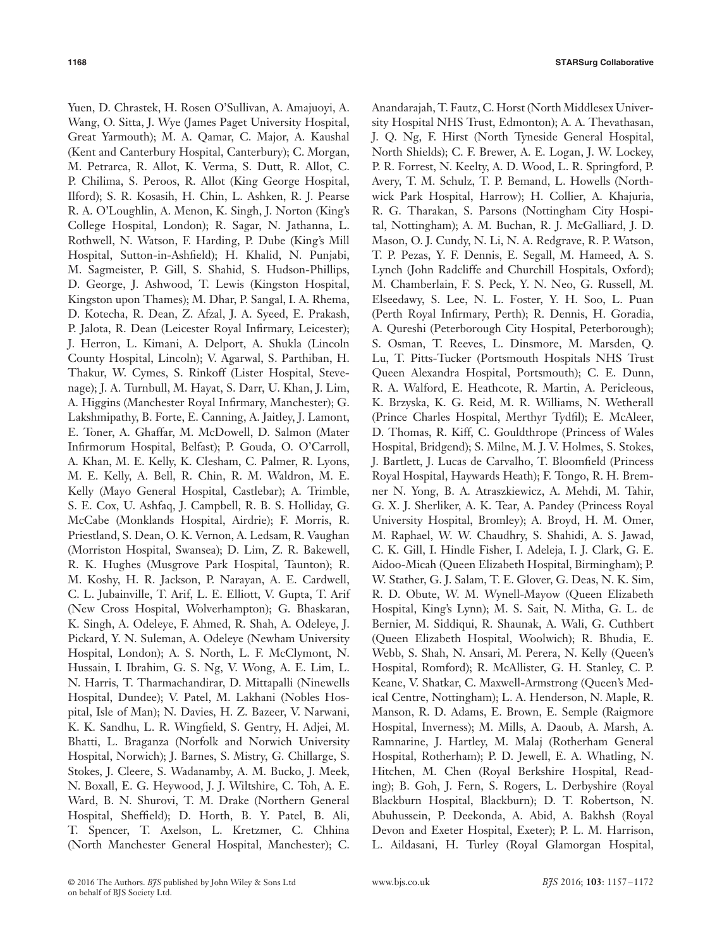Yuen, D. Chrastek, H. Rosen O'Sullivan, A. Amajuoyi, A. Wang, O. Sitta, J. Wye (James Paget University Hospital, Great Yarmouth); M. A. Qamar, C. Major, A. Kaushal (Kent and Canterbury Hospital, Canterbury); C. Morgan, M. Petrarca, R. Allot, K. Verma, S. Dutt, R. Allot, C. P. Chilima, S. Peroos, R. Allot (King George Hospital, Ilford); S. R. Kosasih, H. Chin, L. Ashken, R. J. Pearse R. A. O'Loughlin, A. Menon, K. Singh, J. Norton (King's College Hospital, London); R. Sagar, N. Jathanna, L. Rothwell, N. Watson, F. Harding, P. Dube (King's Mill Hospital, Sutton-in-Ashfield); H. Khalid, N. Punjabi, M. Sagmeister, P. Gill, S. Shahid, S. Hudson-Phillips, D. George, J. Ashwood, T. Lewis (Kingston Hospital, Kingston upon Thames); M. Dhar, P. Sangal, I. A. Rhema, D. Kotecha, R. Dean, Z. Afzal, J. A. Syeed, E. Prakash, P. Jalota, R. Dean (Leicester Royal Infirmary, Leicester); J. Herron, L. Kimani, A. Delport, A. Shukla (Lincoln County Hospital, Lincoln); V. Agarwal, S. Parthiban, H. Thakur, W. Cymes, S. Rinkoff (Lister Hospital, Stevenage); J. A. Turnbull, M. Hayat, S. Darr, U. Khan, J. Lim, A. Higgins (Manchester Royal Infirmary, Manchester); G. Lakshmipathy, B. Forte, E. Canning, A. Jaitley, J. Lamont, E. Toner, A. Ghaffar, M. McDowell, D. Salmon (Mater Infirmorum Hospital, Belfast); P. Gouda, O. O'Carroll, A. Khan, M. E. Kelly, K. Clesham, C. Palmer, R. Lyons, M. E. Kelly, A. Bell, R. Chin, R. M. Waldron, M. E. Kelly (Mayo General Hospital, Castlebar); A. Trimble, S. E. Cox, U. Ashfaq, J. Campbell, R. B. S. Holliday, G. McCabe (Monklands Hospital, Airdrie); F. Morris, R. Priestland, S. Dean, O. K. Vernon, A. Ledsam, R. Vaughan (Morriston Hospital, Swansea); D. Lim, Z. R. Bakewell, R. K. Hughes (Musgrove Park Hospital, Taunton); R. M. Koshy, H. R. Jackson, P. Narayan, A. E. Cardwell, C. L. Jubainville, T. Arif, L. E. Elliott, V. Gupta, T. Arif (New Cross Hospital, Wolverhampton); G. Bhaskaran, K. Singh, A. Odeleye, F. Ahmed, R. Shah, A. Odeleye, J. Pickard, Y. N. Suleman, A. Odeleye (Newham University Hospital, London); A. S. North, L. F. McClymont, N. Hussain, I. Ibrahim, G. S. Ng, V. Wong, A. E. Lim, L. N. Harris, T. Tharmachandirar, D. Mittapalli (Ninewells Hospital, Dundee); V. Patel, M. Lakhani (Nobles Hospital, Isle of Man); N. Davies, H. Z. Bazeer, V. Narwani, K. K. Sandhu, L. R. Wingfield, S. Gentry, H. Adjei, M. Bhatti, L. Braganza (Norfolk and Norwich University Hospital, Norwich); J. Barnes, S. Mistry, G. Chillarge, S. Stokes, J. Cleere, S. Wadanamby, A. M. Bucko, J. Meek, N. Boxall, E. G. Heywood, J. J. Wiltshire, C. Toh, A. E. Ward, B. N. Shurovi, T. M. Drake (Northern General Hospital, Sheffield); D. Horth, B. Y. Patel, B. Ali, T. Spencer, T. Axelson, L. Kretzmer, C. Chhina (North Manchester General Hospital, Manchester); C.

Anandarajah, T. Fautz, C. Horst (North Middlesex University Hospital NHS Trust, Edmonton); A. A. Thevathasan, J. Q. Ng, F. Hirst (North Tyneside General Hospital, North Shields); C. F. Brewer, A. E. Logan, J. W. Lockey, P. R. Forrest, N. Keelty, A. D. Wood, L. R. Springford, P. Avery, T. M. Schulz, T. P. Bemand, L. Howells (Northwick Park Hospital, Harrow); H. Collier, A. Khajuria, R. G. Tharakan, S. Parsons (Nottingham City Hospital, Nottingham); A. M. Buchan, R. J. McGalliard, J. D. Mason, O. J. Cundy, N. Li, N. A. Redgrave, R. P. Watson, T. P. Pezas, Y. F. Dennis, E. Segall, M. Hameed, A. S. Lynch (John Radcliffe and Churchill Hospitals, Oxford); M. Chamberlain, F. S. Peck, Y. N. Neo, G. Russell, M. Elseedawy, S. Lee, N. L. Foster, Y. H. Soo, L. Puan (Perth Royal Infirmary, Perth); R. Dennis, H. Goradia, A. Qureshi (Peterborough City Hospital, Peterborough); S. Osman, T. Reeves, L. Dinsmore, M. Marsden, Q. Lu, T. Pitts-Tucker (Portsmouth Hospitals NHS Trust Queen Alexandra Hospital, Portsmouth); C. E. Dunn, R. A. Walford, E. Heathcote, R. Martin, A. Pericleous, K. Brzyska, K. G. Reid, M. R. Williams, N. Wetherall (Prince Charles Hospital, Merthyr Tydfil); E. McAleer, D. Thomas, R. Kiff, C. Gouldthrope (Princess of Wales Hospital, Bridgend); S. Milne, M. J. V. Holmes, S. Stokes, J. Bartlett, J. Lucas de Carvalho, T. Bloomfield (Princess Royal Hospital, Haywards Heath); F. Tongo, R. H. Bremner N. Yong, B. A. Atraszkiewicz, A. Mehdi, M. Tahir, G. X. J. Sherliker, A. K. Tear, A. Pandey (Princess Royal University Hospital, Bromley); A. Broyd, H. M. Omer, M. Raphael, W. W. Chaudhry, S. Shahidi, A. S. Jawad, C. K. Gill, I. Hindle Fisher, I. Adeleja, I. J. Clark, G. E. Aidoo-Micah (Queen Elizabeth Hospital, Birmingham); P. W. Stather, G. J. Salam, T. E. Glover, G. Deas, N. K. Sim, R. D. Obute, W. M. Wynell-Mayow (Queen Elizabeth Hospital, King's Lynn); M. S. Sait, N. Mitha, G. L. de Bernier, M. Siddiqui, R. Shaunak, A. Wali, G. Cuthbert (Queen Elizabeth Hospital, Woolwich); R. Bhudia, E. Webb, S. Shah, N. Ansari, M. Perera, N. Kelly (Queen's Hospital, Romford); R. McAllister, G. H. Stanley, C. P. Keane, V. Shatkar, C. Maxwell-Armstrong (Queen's Medical Centre, Nottingham); L. A. Henderson, N. Maple, R. Manson, R. D. Adams, E. Brown, E. Semple (Raigmore Hospital, Inverness); M. Mills, A. Daoub, A. Marsh, A. Ramnarine, J. Hartley, M. Malaj (Rotherham General Hospital, Rotherham); P. D. Jewell, E. A. Whatling, N. Hitchen, M. Chen (Royal Berkshire Hospital, Reading); B. Goh, J. Fern, S. Rogers, L. Derbyshire (Royal Blackburn Hospital, Blackburn); D. T. Robertson, N. Abuhussein, P. Deekonda, A. Abid, A. Bakhsh (Royal Devon and Exeter Hospital, Exeter); P. L. M. Harrison, L. Aildasani, H. Turley (Royal Glamorgan Hospital,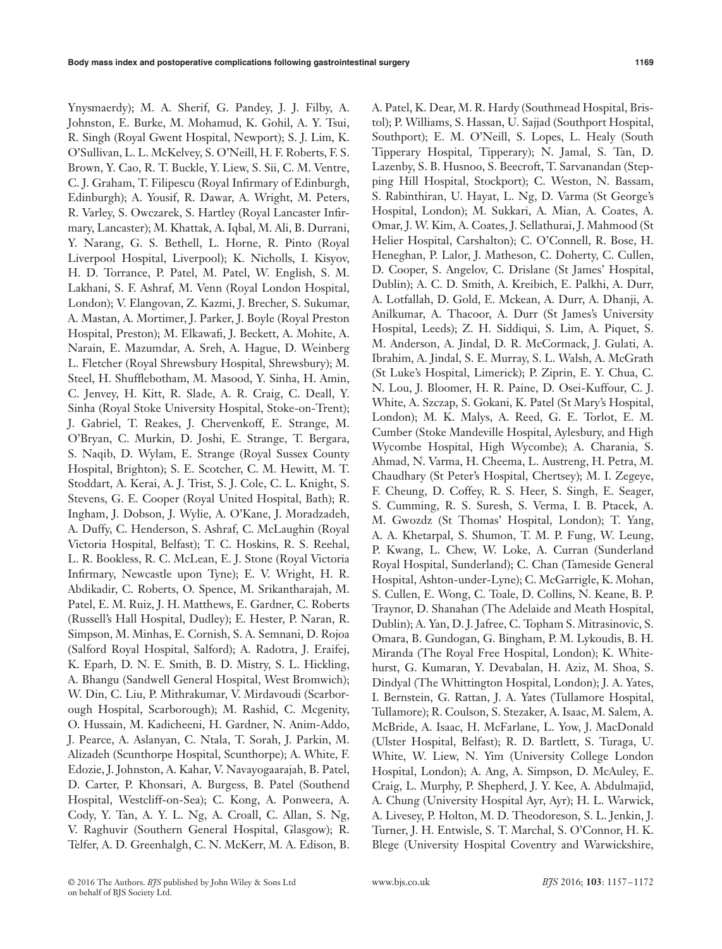Ynysmaerdy); M. A. Sherif, G. Pandey, J. J. Filby, A. Johnston, E. Burke, M. Mohamud, K. Gohil, A. Y. Tsui, R. Singh (Royal Gwent Hospital, Newport); S. J. Lim, K. O'Sullivan, L. L. McKelvey, S. O'Neill, H. F. Roberts, F. S. Brown, Y. Cao, R. T. Buckle, Y. Liew, S. Sii, C. M. Ventre, C. J. Graham, T. Filipescu (Royal Infirmary of Edinburgh, Edinburgh); A. Yousif, R. Dawar, A. Wright, M. Peters, R. Varley, S. Owczarek, S. Hartley (Royal Lancaster Infirmary, Lancaster); M. Khattak, A. Iqbal, M. Ali, B. Durrani, Y. Narang, G. S. Bethell, L. Horne, R. Pinto (Royal Liverpool Hospital, Liverpool); K. Nicholls, I. Kisyov, H. D. Torrance, P. Patel, M. Patel, W. English, S. M. Lakhani, S. F. Ashraf, M. Venn (Royal London Hospital, London); V. Elangovan, Z. Kazmi, J. Brecher, S. Sukumar, A. Mastan, A. Mortimer, J. Parker, J. Boyle (Royal Preston Hospital, Preston); M. Elkawafi, J. Beckett, A. Mohite, A. Narain, E. Mazumdar, A. Sreh, A. Hague, D. Weinberg L. Fletcher (Royal Shrewsbury Hospital, Shrewsbury); M. Steel, H. Shufflebotham, M. Masood, Y. Sinha, H. Amin, C. Jenvey, H. Kitt, R. Slade, A. R. Craig, C. Deall, Y. Sinha (Royal Stoke University Hospital, Stoke-on-Trent); J. Gabriel, T. Reakes, J. Chervenkoff, E. Strange, M. O'Bryan, C. Murkin, D. Joshi, E. Strange, T. Bergara, S. Naqib, D. Wylam, E. Strange (Royal Sussex County Hospital, Brighton); S. E. Scotcher, C. M. Hewitt, M. T. Stoddart, A. Kerai, A. J. Trist, S. J. Cole, C. L. Knight, S. Stevens, G. E. Cooper (Royal United Hospital, Bath); R. Ingham, J. Dobson, J. Wylie, A. O'Kane, J. Moradzadeh, A. Duffy, C. Henderson, S. Ashraf, C. McLaughin (Royal Victoria Hospital, Belfast); T. C. Hoskins, R. S. Reehal, L. R. Bookless, R. C. McLean, E. J. Stone (Royal Victoria Infirmary, Newcastle upon Tyne); E. V. Wright, H. R. Abdikadir, C. Roberts, O. Spence, M. Srikantharajah, M. Patel, E. M. Ruiz, J. H. Matthews, E. Gardner, C. Roberts (Russell's Hall Hospital, Dudley); E. Hester, P. Naran, R. Simpson, M. Minhas, E. Cornish, S. A. Semnani, D. Rojoa (Salford Royal Hospital, Salford); A. Radotra, J. Eraifej, K. Eparh, D. N. E. Smith, B. D. Mistry, S. L. Hickling, A. Bhangu (Sandwell General Hospital, West Bromwich); W. Din, C. Liu, P. Mithrakumar, V. Mirdavoudi (Scarborough Hospital, Scarborough); M. Rashid, C. Mcgenity, O. Hussain, M. Kadicheeni, H. Gardner, N. Anim-Addo, J. Pearce, A. Aslanyan, C. Ntala, T. Sorah, J. Parkin, M. Alizadeh (Scunthorpe Hospital, Scunthorpe); A. White, F. Edozie, J. Johnston, A. Kahar, V. Navayogaarajah, B. Patel, D. Carter, P. Khonsari, A. Burgess, B. Patel (Southend Hospital, Westcliff-on-Sea); C. Kong, A. Ponweera, A. Cody, Y. Tan, A. Y. L. Ng, A. Croall, C. Allan, S. Ng, V. Raghuvir (Southern General Hospital, Glasgow); R. Telfer, A. D. Greenhalgh, C. N. McKerr, M. A. Edison, B. A. Patel, K. Dear, M. R. Hardy (Southmead Hospital, Bristol); P. Williams, S. Hassan, U. Sajjad (Southport Hospital, Southport); E. M. O'Neill, S. Lopes, L. Healy (South Tipperary Hospital, Tipperary); N. Jamal, S. Tan, D. Lazenby, S. B. Husnoo, S. Beecroft, T. Sarvanandan (Stepping Hill Hospital, Stockport); C. Weston, N. Bassam, S. Rabinthiran, U. Hayat, L. Ng, D. Varma (St George's Hospital, London); M. Sukkari, A. Mian, A. Coates, A. Omar, J. W. Kim, A. Coates, J. Sellathurai, J. Mahmood (St Helier Hospital, Carshalton); C. O'Connell, R. Bose, H. Heneghan, P. Lalor, J. Matheson, C. Doherty, C. Cullen, D. Cooper, S. Angelov, C. Drislane (St James' Hospital, Dublin); A. C. D. Smith, A. Kreibich, E. Palkhi, A. Durr, A. Lotfallah, D. Gold, E. Mckean, A. Durr, A. Dhanji, A. Anilkumar, A. Thacoor, A. Durr (St James's University Hospital, Leeds); Z. H. Siddiqui, S. Lim, A. Piquet, S. M. Anderson, A. Jindal, D. R. McCormack, J. Gulati, A. Ibrahim, A. Jindal, S. E. Murray, S. L. Walsh, A. McGrath (St Luke's Hospital, Limerick); P. Ziprin, E. Y. Chua, C. N. Lou, J. Bloomer, H. R. Paine, D. Osei-Kuffour, C. J. White, A. Szczap, S. Gokani, K. Patel (St Mary's Hospital, London); M. K. Malys, A. Reed, G. E. Torlot, E. M. Cumber (Stoke Mandeville Hospital, Aylesbury, and High Wycombe Hospital, High Wycombe); A. Charania, S. Ahmad, N. Varma, H. Cheema, L. Austreng, H. Petra, M. Chaudhary (St Peter's Hospital, Chertsey); M. I. Zegeye, F. Cheung, D. Coffey, R. S. Heer, S. Singh, E. Seager, S. Cumming, R. S. Suresh, S. Verma, I. B. Ptacek, A. M. Gwozdz (St Thomas' Hospital, London); T. Yang, A. A. Khetarpal, S. Shumon, T. M. P. Fung, W. Leung, P. Kwang, L. Chew, W. Loke, A. Curran (Sunderland Royal Hospital, Sunderland); C. Chan (Tameside General Hospital, Ashton-under-Lyne); C. McGarrigle, K. Mohan, S. Cullen, E. Wong, C. Toale, D. Collins, N. Keane, B. P. Traynor, D. Shanahan (The Adelaide and Meath Hospital, Dublin); A. Yan, D. J. Jafree, C. Topham S. Mitrasinovic, S. Omara, B. Gundogan, G. Bingham, P. M. Lykoudis, B. H. Miranda (The Royal Free Hospital, London); K. Whitehurst, G. Kumaran, Y. Devabalan, H. Aziz, M. Shoa, S. Dindyal (The Whittington Hospital, London); J. A. Yates, I. Bernstein, G. Rattan, J. A. Yates (Tullamore Hospital, Tullamore); R. Coulson, S. Stezaker, A. Isaac, M. Salem, A. McBride, A. Isaac, H. McFarlane, L. Yow, J. MacDonald (Ulster Hospital, Belfast); R. D. Bartlett, S. Turaga, U. White, W. Liew, N. Yim (University College London Hospital, London); A. Ang, A. Simpson, D. McAuley, E. Craig, L. Murphy, P. Shepherd, J. Y. Kee, A. Abdulmajid, A. Chung (University Hospital Ayr, Ayr); H. L. Warwick, A. Livesey, P. Holton, M. D. Theodoreson, S. L. Jenkin, J. Turner, J. H. Entwisle, S. T. Marchal, S. O'Connor, H. K. Blege (University Hospital Coventry and Warwickshire,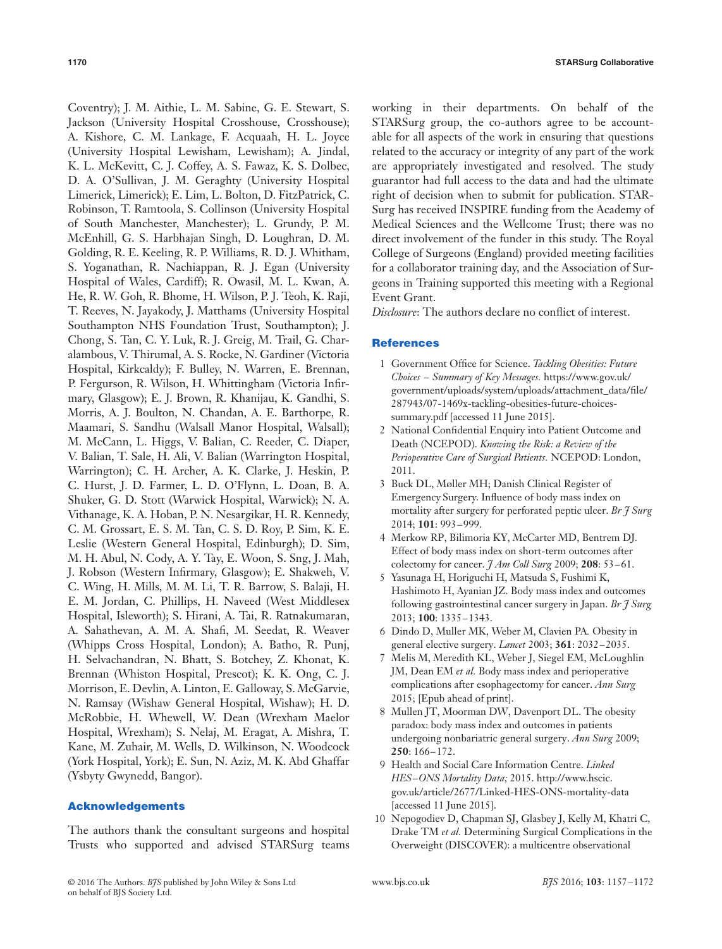Coventry); J. M. Aithie, L. M. Sabine, G. E. Stewart, S. Jackson (University Hospital Crosshouse, Crosshouse); A. Kishore, C. M. Lankage, F. Acquaah, H. L. Joyce (University Hospital Lewisham, Lewisham); A. Jindal, K. L. McKevitt, C. J. Coffey, A. S. Fawaz, K. S. Dolbec, D. A. O'Sullivan, J. M. Geraghty (University Hospital Limerick, Limerick); E. Lim, L. Bolton, D. FitzPatrick, C. Robinson, T. Ramtoola, S. Collinson (University Hospital of South Manchester, Manchester); L. Grundy, P. M. McEnhill, G. S. Harbhajan Singh, D. Loughran, D. M. Golding, R. E. Keeling, R. P. Williams, R. D. J. Whitham, S. Yoganathan, R. Nachiappan, R. J. Egan (University Hospital of Wales, Cardiff); R. Owasil, M. L. Kwan, A. He, R. W. Goh, R. Bhome, H. Wilson, P. J. Teoh, K. Raji, T. Reeves, N. Jayakody, J. Matthams (University Hospital Southampton NHS Foundation Trust, Southampton); J. Chong, S. Tan, C. Y. Luk, R. J. Greig, M. Trail, G. Charalambous, V. Thirumal, A. S. Rocke, N. Gardiner (Victoria Hospital, Kirkcaldy); F. Bulley, N. Warren, E. Brennan, P. Fergurson, R. Wilson, H. Whittingham (Victoria Infirmary, Glasgow); E. J. Brown, R. Khanijau, K. Gandhi, S. Morris, A. J. Boulton, N. Chandan, A. E. Barthorpe, R. Maamari, S. Sandhu (Walsall Manor Hospital, Walsall); M. McCann, L. Higgs, V. Balian, C. Reeder, C. Diaper, V. Balian, T. Sale, H. Ali, V. Balian (Warrington Hospital, Warrington); C. H. Archer, A. K. Clarke, J. Heskin, P. C. Hurst, J. D. Farmer, L. D. O'Flynn, L. Doan, B. A. Shuker, G. D. Stott (Warwick Hospital, Warwick); N. A. Vithanage, K. A. Hoban, P. N. Nesargikar, H. R. Kennedy, C. M. Grossart, E. S. M. Tan, C. S. D. Roy, P. Sim, K. E. Leslie (Western General Hospital, Edinburgh); D. Sim, M. H. Abul, N. Cody, A. Y. Tay, E. Woon, S. Sng, J. Mah, J. Robson (Western Infirmary, Glasgow); E. Shakweh, V. C. Wing, H. Mills, M. M. Li, T. R. Barrow, S. Balaji, H. E. M. Jordan, C. Phillips, H. Naveed (West Middlesex Hospital, Isleworth); S. Hirani, A. Tai, R. Ratnakumaran, A. Sahathevan, A. M. A. Shafi, M. Seedat, R. Weaver (Whipps Cross Hospital, London); A. Batho, R. Punj, H. Selvachandran, N. Bhatt, S. Botchey, Z. Khonat, K. Brennan (Whiston Hospital, Prescot); K. K. Ong, C. J. Morrison, E. Devlin, A. Linton, E. Galloway, S. McGarvie, N. Ramsay (Wishaw General Hospital, Wishaw); H. D. McRobbie, H. Whewell, W. Dean (Wrexham Maelor Hospital, Wrexham); S. Nelaj, M. Eragat, A. Mishra, T. Kane, M. Zuhair, M. Wells, D. Wilkinson, N. Woodcock (York Hospital, York); E. Sun, N. Aziz, M. K. Abd Ghaffar (Ysbyty Gwynedd, Bangor).

#### **Acknowledgements**

The authors thank the consultant surgeons and hospital Trusts who supported and advised STARSurg teams working in their departments. On behalf of the STARSurg group, the co-authors agree to be accountable for all aspects of the work in ensuring that questions related to the accuracy or integrity of any part of the work are appropriately investigated and resolved. The study guarantor had full access to the data and had the ultimate right of decision when to submit for publication. STAR-Surg has received INSPIRE funding from the Academy of Medical Sciences and the Wellcome Trust; there was no direct involvement of the funder in this study. The Royal College of Surgeons (England) provided meeting facilities for a collaborator training day, and the Association of Surgeons in Training supported this meeting with a Regional Event Grant.

*Disclosure*: The authors declare no conflict of interest.

#### **References**

- 1 Government Office for Science. *Tackling Obesities: Future Choices – Summary of Key Messages.* https://www.gov.uk/ government/[uploads/system/upload](https://www.gov.uk/government/uploads/system/uploads/attachment_data/file/287943/07-1469x-tackling-obesities-future-choices-summary.pdf)s/attachment\_data/file/ 287943/07-1469x-tackling-obesities-future-choicessummary.pdf [accessed 11 June 2015].
- 2 National Confidential Enquiry into Patient Outcome and Death (NCEPOD). *Knowing the Risk: a Review of the Perioperative Care of Surgical Patients.* NCEPOD: London, 2011.
- 3 Buck DL, Møller MH; Danish Clinical Register of Emergency Surgery. Influence of body mass index on mortality after surgery for perforated peptic ulcer. *Br J Surg* 2014; **101**: 993–999.
- 4 Merkow RP, Bilimoria KY, McCarter MD, Bentrem DJ*.* Effect of body mass index on short-term outcomes after colectomy for cancer. *J Am Coll Surg* 2009; **208**: 53–61.
- 5 Yasunaga H, Horiguchi H, Matsuda S, Fushimi K, Hashimoto H, Ayanian JZ. Body mass index and outcomes following gastrointestinal cancer surgery in Japan. *Br J Surg* 2013; **100**: 1335–1343.
- 6 Dindo D, Muller MK, Weber M, Clavien PA*.* Obesity in general elective surgery. *Lancet* 2003; **361**: 2032–2035.
- 7 Melis M, Meredith KL, Weber J, Siegel EM, McLoughlin JM, Dean EM *et al.* Body mass index and perioperative complications after esophagectomy for cancer. *Ann Surg* 2015; [Epub ahead of print].
- 8 Mullen JT, Moorman DW, Davenport DL. The obesity paradox: body mass index and outcomes in patients undergoing nonbariatric general surgery. *Ann Surg* 2009; **250**: 166–172.
- 9 Health and Social Care Information Centre. *Linked HES–ONS Mortality Data;* 2015. http://www.hscic. gov.uk/article/2677/Linked-HES-ONS-mortality-data [accessed 11 June 2015].
- 10 Nepogodiev D, Chapman SJ, Glasbey J, Kelly M, Khatri C, Drake TM *et al.* Determining Surgical Complications in the Overweight (DISCOVER): a multicentre observational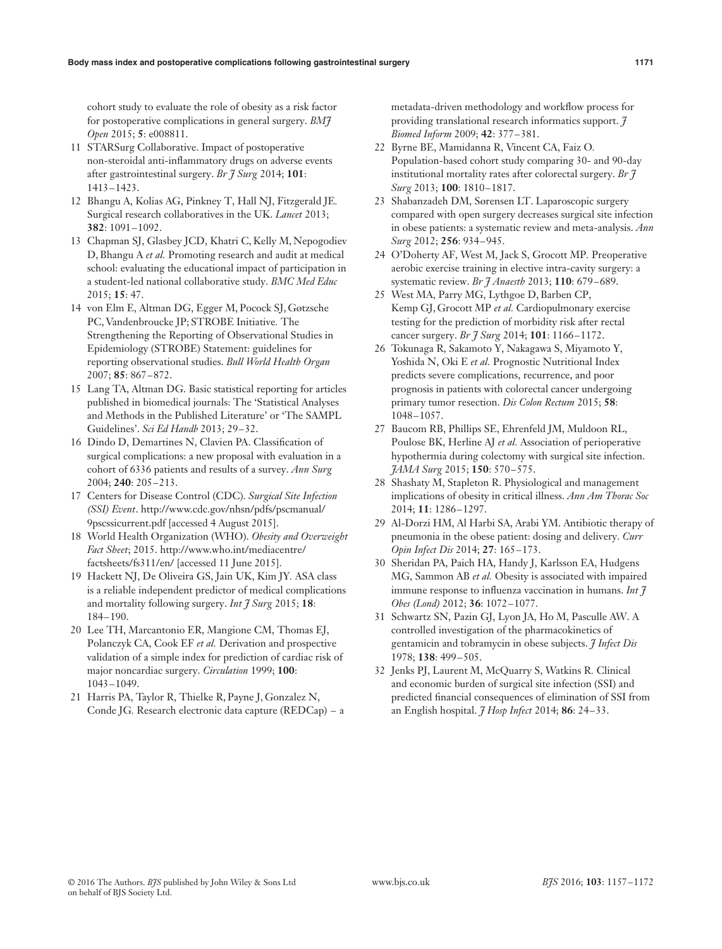cohort study to evaluate the role of obesity as a risk factor for postoperative complications in general surgery. *BMJ Open* 2015; **5**: e008811.

- 11 STARSurg Collaborative. Impact of postoperative non-steroidal anti-inflammatory drugs on adverse events after gastrointestinal surgery. *Br J Surg* 2014; **101**: 1413–1423.
- 12 Bhangu A, Kolias AG, Pinkney T, Hall NJ, Fitzgerald JE*.* Surgical research collaboratives in the UK. *Lancet* 2013; **382**: 1091–1092.
- 13 Chapman SJ, Glasbey JCD, Khatri C, Kelly M, Nepogodiev D, Bhangu A *et al.* Promoting research and audit at medical school: evaluating the educational impact of participation in a student-led national collaborative study. *BMC Med Educ* 2015; **15**: 47.
- 14 von Elm E, Altman DG, Egger M, Pocock SJ, Gøtzsche PC, Vandenbroucke JP; STROBE Initiative*.* The Strengthening the Reporting of Observational Studies in Epidemiology (STROBE) Statement: guidelines for reporting observational studies. *Bull World Health Organ* 2007; **85**: 867–872.
- 15 Lang TA, Altman DG. Basic statistical reporting for articles published in biomedical journals: The 'Statistical Analyses and Methods in the Published Literature' or 'The SAMPL Guidelines'. *Sci Ed Handb* 2013; 29–32.
- 16 Dindo D, Demartines N, Clavien PA. Classification of surgical complications: a new proposal with evaluation in a cohort of 6336 patients and results of a survey. *Ann Surg* 2004; **240**: 205–213.
- 17 Centers for Disease Control (CDC). *Surgical Site Infection (SSI) Event*. http://www.cdc.gov/nhsn/pdfs/pscmanual/ 9pscssicurrent.pdf [accessed 4 August 2015].
- 18 World Health Organization (WHO). *Obesity and Overweight Fact Sheet*; 2015. http://www.who.int/mediacentre/ factsheets/fs311/en/ [accessed 11 June 2015].
- 19 Hackett NJ, De Oliveira GS, Jain UK, Kim JY*.* ASA class is a reliable independent predictor of medical complications and mortality following surgery. *Int J Surg* 2015; **18**: 184–190.
- 20 Lee TH, Marcantonio ER, Mangione CM, Thomas EJ, Polanczyk CA, Cook EF *et al.* Derivation and prospective validation of a simple index for prediction of cardiac risk of major noncardiac surgery. *Circulation* 1999; **100**: 1043–1049.
- 21 Harris PA, Taylor R, Thielke R, Payne J, Gonzalez N, Conde JG*.* Research electronic data capture (REDCap) – a

metadata-driven methodology and workflow process for providing translational research informatics support. *J Biomed Inform* 2009; **42**: 377–381.

- 22 Byrne BE, Mamidanna R, Vincent CA, Faiz O*.* Population-based cohort study comparing 30- and 90-day institutional mortality rates after colorectal surgery. *Br J Surg* 2013; **100**: 1810–1817.
- 23 Shabanzadeh DM, Sørensen LT. Laparoscopic surgery compared with open surgery decreases surgical site infection in obese patients: a systematic review and meta-analysis. *Ann Surg* 2012; **256**: 934–945.
- 24 O'Doherty AF, West M, Jack S, Grocott MP*.* Preoperative aerobic exercise training in elective intra-cavity surgery: a systematic review. *Br J Anaesth* 2013; **110**: 679–689.
- 25 West MA, Parry MG, Lythgoe D, Barben CP, Kemp GJ, Grocott MP *et al.* Cardiopulmonary exercise testing for the prediction of morbidity risk after rectal cancer surgery. *Br J Surg* 2014; **101**: 1166–1172.
- 26 Tokunaga R, Sakamoto Y, Nakagawa S, Miyamoto Y, Yoshida N, Oki E *et al.* Prognostic Nutritional Index predicts severe complications, recurrence, and poor prognosis in patients with colorectal cancer undergoing primary tumor resection. *Dis Colon Rectum* 2015; **58**: 1048–1057.
- 27 Baucom RB, Phillips SE, Ehrenfeld JM, Muldoon RL, Poulose BK, Herline AJ *et al.* Association of perioperative hypothermia during colectomy with surgical site infection. *JAMA Surg* 2015; **150**: 570–575.
- 28 Shashaty M, Stapleton R. Physiological and management implications of obesity in critical illness. *Ann Am Thorac Soc* 2014; **11**: 1286–1297.
- 29 Al-Dorzi HM, Al Harbi SA, Arabi YM. Antibiotic therapy of pneumonia in the obese patient: dosing and delivery. *Curr Opin Infect Dis* 2014; **27**: 165–173.
- 30 Sheridan PA, Paich HA, Handy J, Karlsson EA, Hudgens MG, Sammon AB *et al.* Obesity is associated with impaired immune response to influenza vaccination in humans. *Int J Obes (Lond)* 2012; **36**: 1072–1077.
- 31 Schwartz SN, Pazin GJ, Lyon JA, Ho M, Pasculle AW. A controlled investigation of the pharmacokinetics of gentamicin and tobramycin in obese subjects. *J Infect Dis* 1978; **138**: 499–505.
- 32 Jenks PJ, Laurent M, McQuarry S, Watkins R*.* Clinical and economic burden of surgical site infection (SSI) and predicted financial consequences of elimination of SSI from an English hospital. *J Hosp Infect* 2014; **86**: 24–33.